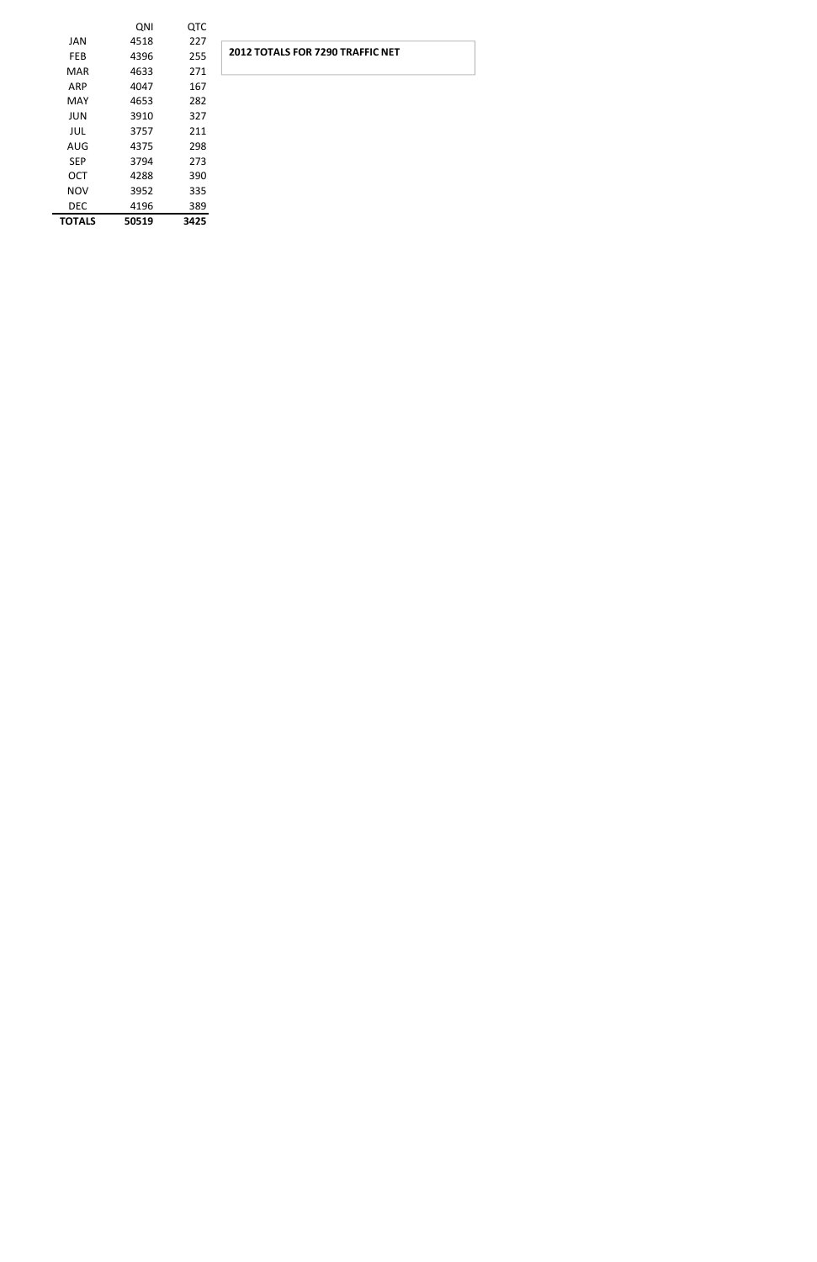|               | QNI   | <b>QTC</b> |                                         |
|---------------|-------|------------|-----------------------------------------|
| <b>JAN</b>    | 4518  | 227        |                                         |
| <b>FEB</b>    | 4396  | 255        | <b>2012 TOTALS FOR 7290 TRAFFIC NET</b> |
| MAR           | 4633  | 271        |                                         |
| ARP           | 4047  | 167        |                                         |
| MAY           | 4653  | 282        |                                         |
| JUN           | 3910  | 327        |                                         |
| JUL           | 3757  | 211        |                                         |
| <b>AUG</b>    | 4375  | 298        |                                         |
| <b>SEP</b>    | 3794  | 273        |                                         |
| OCT           | 4288  | 390        |                                         |
| <b>NOV</b>    | 3952  | 335        |                                         |
| <b>DEC</b>    | 4196  | 389        |                                         |
| <b>TOTALS</b> | 50519 | 3425       |                                         |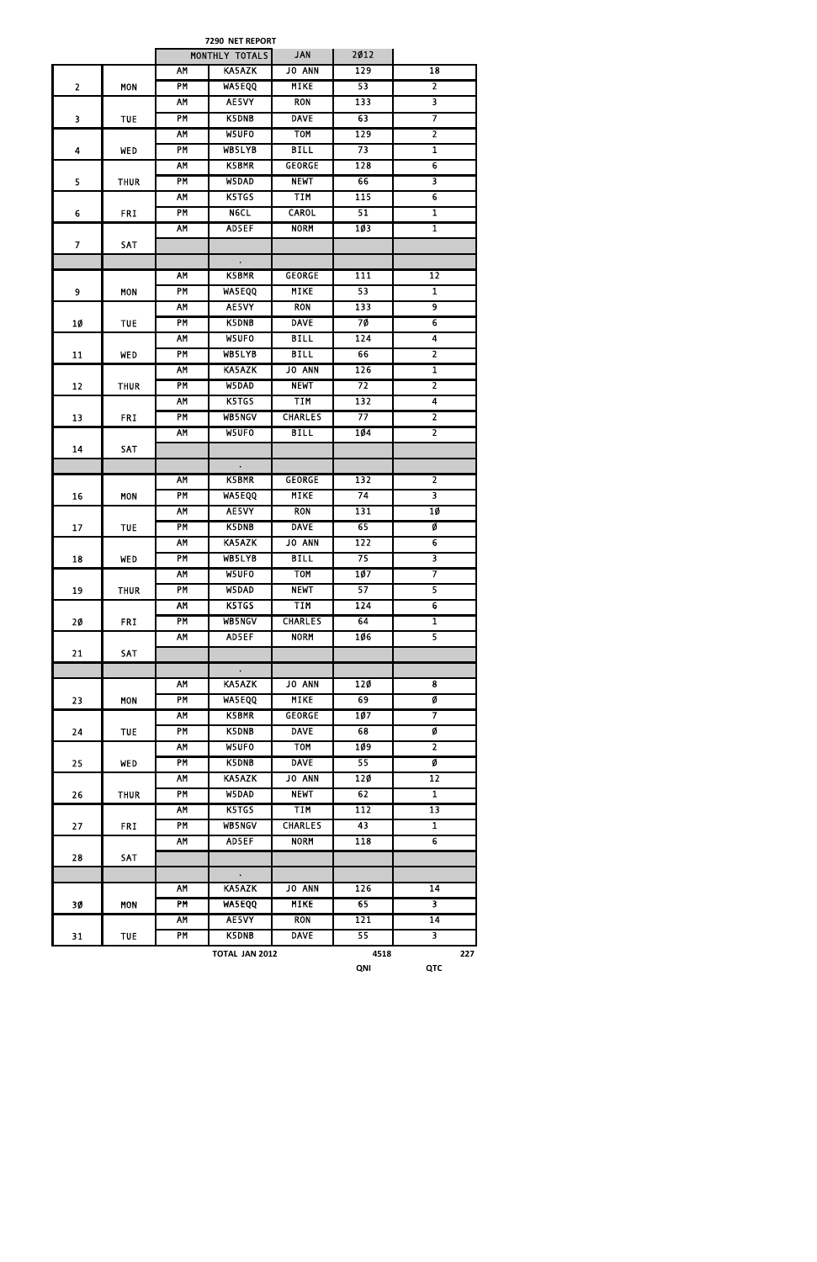|                         |             |                 | 7290 NET REPORT      |                |                  |                         |
|-------------------------|-------------|-----------------|----------------------|----------------|------------------|-------------------------|
|                         |             |                 | MONTHLY TOTALS       | <b>JAN</b>     | 2012             |                         |
|                         |             | AM              | <b>KA5AZK</b>        | JO ANN         | 129              | $\overline{18}$         |
| $\overline{2}$          | <b>MON</b>  | PM              | <b>WA5EQQ</b>        | <b>MIKE</b>    | 53               | $\overline{2}$          |
|                         |             | <b>AM</b>       | AE5VY                | <b>RON</b>     | 133              | $\overline{\mathbf{3}}$ |
| $\overline{\mathbf{3}}$ | <b>TUE</b>  | <b>PM</b>       | K5DNB                | <b>DAVE</b>    | 63               | 7                       |
|                         |             | AM              | W5UF0                | <b>TOM</b>     | 129              | $\overline{2}$          |
| $\overline{\mathbf{4}}$ | <b>WED</b>  | PM              | WB5LYB               | <b>BILL</b>    | 73               | $\mathbf{1}$            |
|                         |             | <b>AM</b>       | K5BMR                | <b>GEORGE</b>  | 128              | $\overline{6}$          |
| 5                       | <b>THUR</b> | PM              | W5DAD                | <b>NEWT</b>    | 66               | 3                       |
|                         |             | AM              | K5TGS                | <b>TIM</b>     | 115              | $\overline{6}$          |
| $\boldsymbol{6}$        | <b>FRI</b>  | PM              | <b>Nect</b>          | <b>CAROL</b>   | 51               | $\overline{\mathbf{1}}$ |
|                         |             | AM              | AD5EF                | <b>NORM</b>    | 103              | $\mathbf{1}$            |
| $\overline{7}$          | SAT         |                 |                      |                |                  |                         |
|                         |             |                 | $\mathcal{L}$        |                |                  |                         |
|                         |             | AM              | K5BMR                | <b>GEORGE</b>  | 111              | 12                      |
| 9                       | <b>MON</b>  | <b>PM</b>       | WA5EQQ               | <b>MIKE</b>    | 53               | $\mathbf{1}$            |
|                         |             | AM              | AE5VY                | <b>RON</b>     | 133              | $\overline{9}$          |
|                         |             | $\overline{PM}$ | <b>K5DNB</b>         | <b>DAVE</b>    | 7Ø               | $\overline{6}$          |
| 1Ø                      | <b>TUE</b>  |                 |                      | <b>BILL</b>    |                  |                         |
|                         |             | AM              | W5UFO                |                | 124              | 4                       |
| 11                      | <b>WED</b>  | PM              | WB5LYB               | <b>BILL</b>    | 66               | $\overline{\mathbf{2}}$ |
|                         |             | <b>AM</b>       | KA5AZK               | <b>JO ANN</b>  | 126              | $\overline{\mathbf{1}}$ |
| 12                      | <b>THUR</b> | <b>PM</b>       | W5DAD                | <b>NEWT</b>    | $\overline{72}$  | $\overline{2}$          |
|                         |             | AM              | K5TGS                | TIM            | 132              | $\overline{\mathbf{4}}$ |
| 13                      | <b>FRI</b>  | PM              | <b>WB5NGV</b>        | <b>CHARLES</b> | 77               | $\overline{2}$          |
|                         |             | AM              | W5UFO                | <b>BILL</b>    | 104              | $\overline{2}$          |
| 14                      | <b>SAT</b>  |                 |                      |                |                  |                         |
|                         |             |                 | $\bullet$            |                |                  |                         |
|                         |             | AM              | K5BMR                | <b>GEORGE</b>  | 132              | $\overline{\mathbf{2}}$ |
| 16                      | <b>MON</b>  | PM              | <b>WASEQQ</b>        | <b>MIKE</b>    | 74               | $\overline{\mathbf{3}}$ |
|                         |             | AM              | AE5VY                | <b>RON</b>     | 131              | 10                      |
| 17                      | <b>TUE</b>  | PM              | K5DNB                | <b>DAVE</b>    | 65               | Ø                       |
|                         |             | AM              | KA5AZK               | JO ANN         | 122              | $\overline{6}$          |
| 18                      | WED         | PM              | WB5LYB               | <b>BILL</b>    | 75               | $\overline{\mathbf{3}}$ |
|                         |             | AM              | W5UFO                | <b>TOM</b>     | 107              | 7                       |
| 19                      | <b>THUR</b> | PM              | W5DAD                | <b>NEWT</b>    | 57               | $\overline{\mathbf{5}}$ |
|                         |             | <b>AM</b>       | K5TGS                | <b>TIM</b>     | 124              | $\overline{6}$          |
| 20 <sub>o</sub>         | <b>FRI</b>  | <b>PM</b>       | <b>WB5NGV</b>        | <b>CHARLES</b> | 64               | $\overline{\mathbf{1}}$ |
|                         |             | <b>AM</b>       | AD5EF                | <b>NORM</b>    | 106              | $\overline{5}$          |
| 21                      | SAT         |                 |                      |                |                  |                         |
|                         |             |                 | $\bullet$            |                |                  |                         |
|                         |             | AM              | KA5AZK               | <b>JO ANN</b>  | 120              | 8                       |
| 23                      | <b>MON</b>  | <b>PM</b>       | <b>WA5EQQ</b>        | <b>MIKE</b>    | 69               | Ø                       |
|                         |             | <b>AM</b>       | K5BMR                | <b>GEORGE</b>  | 107              | 7                       |
| 24                      | <b>TUE</b>  | <b>PM</b>       | K5DNB                | <b>DAVE</b>    | 68               | Ø                       |
|                         |             | AM              | W5UFO                | <b>TOM</b>     | 109              | $\overline{2}$          |
| 25                      | WED         | PM              | K5DNB                | <b>DAVE</b>    | 55               | Ø                       |
|                         |             | <b>AM</b>       | KA5AZK               | <b>JO ANN</b>  | 120              | $\overline{12}$         |
| 26                      | <b>THUR</b> | PM              | W5DAD                | <b>NEWT</b>    | 62               | $\overline{\mathbf{1}}$ |
|                         |             | <b>AM</b>       | K5TGS                | TIM            | 112              | $\overline{13}$         |
| 27                      | <b>FRI</b>  | PM              | <b>WB5NGV</b>        | <b>CHARLES</b> | 43               | $\overline{\mathbf{1}}$ |
|                         |             | <b>AM</b>       | AD5EF                | <b>NORM</b>    | $\overline{118}$ | $\overline{6}$          |
| 28                      | SAT         |                 |                      |                |                  |                         |
|                         |             |                 | $\ddot{\phantom{0}}$ |                |                  |                         |
|                         |             | <b>AM</b>       | KA5AZK               | JO ANN         | $\overline{126}$ | 14                      |
| 3Ø                      | <b>MON</b>  | PM              | <b>WA5EQQ</b>        | <b>MIKE</b>    | 65               | $\overline{\mathbf{3}}$ |
|                         |             | <b>AM</b>       | AE5VY                | <b>RON</b>     | 121              | $\overline{14}$         |
|                         |             |                 |                      |                |                  |                         |

| 21<br>JT. | TUE | ΡM<br>K5DNB<br><b>DAVE</b><br>55 |                |  |      |            |         |
|-----------|-----|----------------------------------|----------------|--|------|------------|---------|
|           |     |                                  | TOTAL JAN 2012 |  | 4518 |            | ררר<br> |
|           |     |                                  |                |  | QNI  | חדר<br>uıc |         |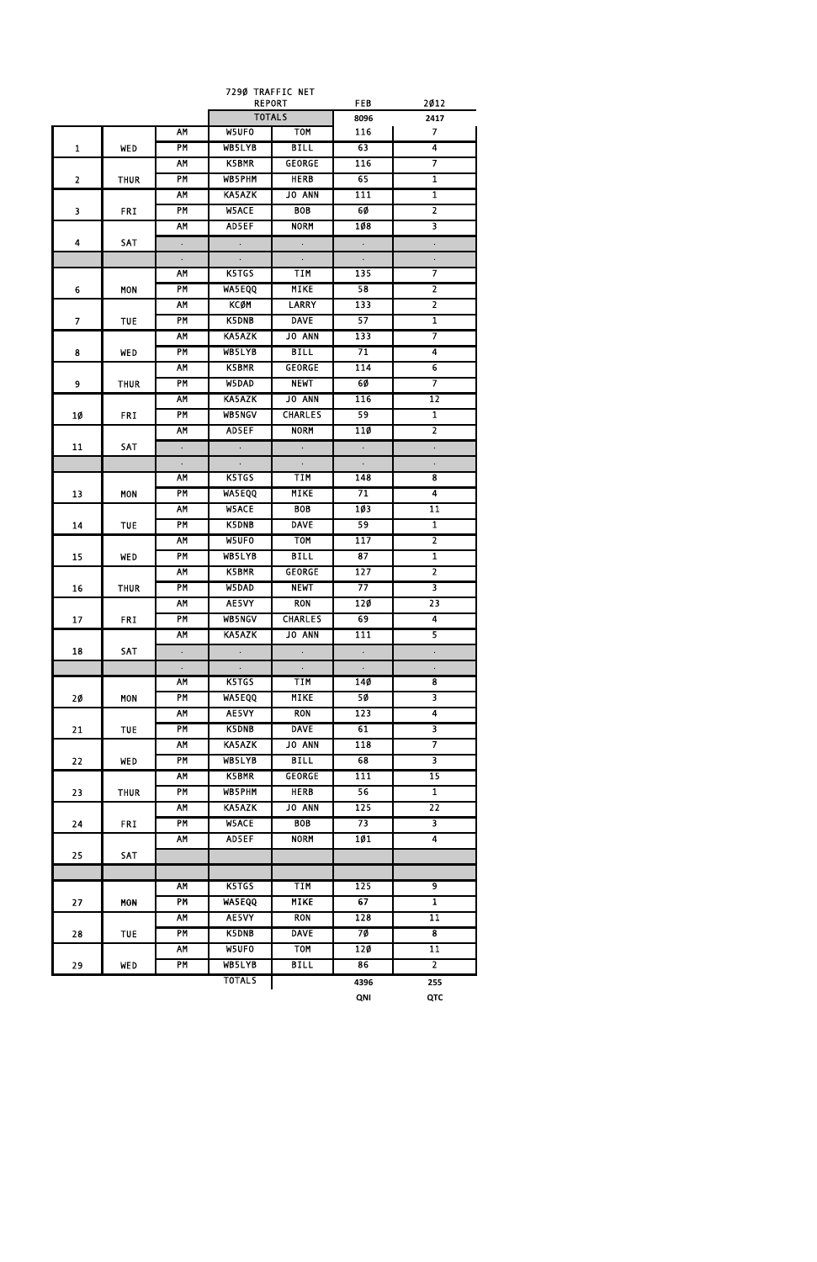| <b>REPORT</b><br><b>TOTALS</b><br>8096<br>2417<br>W5UFO<br><b>TOM</b><br>$\overline{\mathbf{z}}$<br>AM<br>116<br>4<br><b>PM</b><br><b>BILL</b><br>WB5LYB<br>63<br>$\mathbf{1}$<br><b>WED</b><br>7<br><b>K5BMR</b><br><b>GEORGE</b><br>116<br>AM<br>PM<br>65<br>$\mathbf{1}$<br>WB5PHM<br><b>HERB</b><br>$\overline{2}$<br><b>THUR</b><br>JO ANN<br>$\overline{1}$<br>AM<br><b>KA5AZK</b><br>111<br>PM<br>$\overline{2}$<br><b>W5ACE</b><br><b>BOB</b><br>6Ø<br>3<br><b>FRI</b><br>3<br>AM<br>AD5EF<br><b>NORM</b><br>108<br><b>SAT</b><br>4<br>$\ddot{\phantom{0}}$<br>$\Box$<br>$\ddot{\phantom{0}}$<br>$\Box$<br>$\ddot{\phantom{0}}$<br>$\ddot{\phantom{0}}$<br>$\ddot{\phantom{0}}$<br>7<br><b>TIM</b><br>135<br>AM<br>K5TGS<br>$\overline{2}$<br>PM<br><b>MIKE</b><br>58<br>WA5EQQ<br>6<br><b>MON</b><br>$\overline{2}$<br><b>KCØM</b><br>133<br>AM<br><b>LARRY</b><br>57<br>$\overline{\mathbf{1}}$<br>PM<br><b>K5DNB</b><br><b>DAVE</b><br>7<br><b>TUE</b><br>7<br>KA5AZK<br><b>JO ANN</b><br>AM<br>133<br>71<br>$\overline{4}$<br>PM<br>WB5LYB<br><b>BILL</b><br>8<br><b>WED</b><br>$\overline{6}$<br>AM<br>K5BMR<br>114<br><b>GEORGE</b><br>7<br>PM<br>6Ø<br>W5DAD<br><b>NEWT</b><br>9<br><b>THUR</b><br>AM<br><b>KA5AZK</b><br><b>JO ANN</b><br>116<br>12<br><b>PM</b><br>59<br>$\overline{\mathbf{1}}$<br>WB5NGV<br><b>CHARLES</b><br>1Ø<br><b>FRI</b><br>$\overline{2}$<br><b>NORM</b><br>AM<br>AD5EF<br>11Ø<br>11<br><b>SAT</b><br>$\ddot{\phantom{0}}$<br>$\ddot{\phantom{0}}$<br>$\Box$<br>$\Box$<br>$\ddot{\phantom{0}}$<br>$\ddot{\phantom{0}}$<br>$\ddot{\phantom{0}}$<br>$\ddot{\phantom{0}}$<br>$\ddot{\phantom{0}}$<br><b>TIM</b><br>8<br>K5TGS<br>148<br>AΜ<br><b>PM</b><br><b>MIKE</b><br>71<br>4<br><b>WA5EQQ</b><br>13<br>MON<br>103<br>$\overline{11}$<br>AM<br>W5ACE<br><b>BOB</b><br>$\overline{\mathbf{1}}$<br>59<br>PM<br><b>K5DNB</b><br><b>DAVE</b><br>14<br><b>TUE</b><br>$\overline{\mathbf{2}}$<br><b>TOM</b><br>117<br>AM<br>W5UFO<br>$\mathbf{1}$<br>PM<br>WB5LYB<br><b>BILL</b><br>87<br>15<br><b>WED</b><br>127<br>$\overline{2}$<br><b>AM</b><br>K5BMR<br><b>GEORGE</b><br><b>PM</b><br><b>NEWT</b><br>77<br>3<br>W5DAD<br>16<br><b>THUR</b><br><b>AM</b><br>AE5VY<br><b>RON</b><br>$\overline{23}$<br>120<br><b>PM</b><br><b>CHARLES</b><br>69<br>$\overline{4}$<br><b>WB5NGV</b><br>17<br><b>FRI</b><br>5<br><b>JO ANN</b><br>111<br><b>AM</b><br><b>KA5AZK</b><br>18<br>SAT<br>$\Box$<br>$\ddot{\phantom{0}}$<br>$\Box$<br>$\Box$<br>$\ddot{\phantom{0}}$<br>$\ddot{\phantom{0}}$<br>$\ddot{\phantom{0}}$<br>$\ddot{\phantom{0}}$<br>$\ddot{\phantom{0}}$<br>$\overline{\mathbf{8}}$<br>K5TGS<br><b>TIM</b><br>AM<br>14Ø<br><b>MIKE</b><br>50<br>$\overline{\mathbf{3}}$<br><b>PM</b><br><b>WA5EQQ</b><br>2Ø<br><b>MON</b><br>AE5VY<br><b>RON</b><br>123<br>$\overline{\mathbf{4}}$<br>AM<br>$\overline{\mathbf{3}}$<br>K5DNB<br><b>DAVE</b><br>61<br><b>PM</b><br>21<br><b>TUE</b><br>7<br>KA5AZK<br>JO ANN<br>118<br><b>AM</b><br>3<br><b>PM</b><br>WB5LYB<br><b>BILL</b><br>68<br>22<br><b>WED</b><br>$\overline{15}$<br>K5BMR<br>111<br><b>AM</b><br><b>GEORGE</b><br><b>PM</b><br><b>HERB</b><br>56<br>$\overline{\mathbf{1}}$<br>WB5PHM<br>23<br><b>THUR</b><br>$\overline{22}$<br><b>AM</b><br>KA5AZK<br>JO ANN<br>125<br><b>PM</b><br><b>W5ACE</b><br><b>BOB</b><br>3<br>73<br>24<br><b>FRI</b><br><b>AM</b><br>AD5EF<br><b>NORM</b><br>101<br>$\overline{\mathbf{4}}$<br>25<br>SAT<br>K5TGS<br><b>TIM</b><br>$\overline{9}$<br>AM<br>125<br>$\overline{\mathbf{1}}$<br>PM<br><b>WASEQQ</b><br><b>MIKE</b><br>67<br>27<br><b>MON</b><br>AE5VY<br><b>RON</b><br>128<br><b>AM</b><br>$\overline{11}$<br><b>PM</b><br><b>DAVE</b><br>$\overline{\mathbf{8}}$<br>K5DNB<br>7Ø<br>28<br><b>TUE</b><br>W5UFO<br><b>TOM</b><br>$\overline{11}$<br><b>AM</b><br>120<br>$\overline{2}$<br><b>PM</b><br>WB5LYB<br><b>BILL</b><br>86<br>29<br>WED<br><b>TOTALS</b><br>4396<br>255 |  |  | 7290 TRAFFIC NET | <b>FEB</b> | 2012       |
|--------------------------------------------------------------------------------------------------------------------------------------------------------------------------------------------------------------------------------------------------------------------------------------------------------------------------------------------------------------------------------------------------------------------------------------------------------------------------------------------------------------------------------------------------------------------------------------------------------------------------------------------------------------------------------------------------------------------------------------------------------------------------------------------------------------------------------------------------------------------------------------------------------------------------------------------------------------------------------------------------------------------------------------------------------------------------------------------------------------------------------------------------------------------------------------------------------------------------------------------------------------------------------------------------------------------------------------------------------------------------------------------------------------------------------------------------------------------------------------------------------------------------------------------------------------------------------------------------------------------------------------------------------------------------------------------------------------------------------------------------------------------------------------------------------------------------------------------------------------------------------------------------------------------------------------------------------------------------------------------------------------------------------------------------------------------------------------------------------------------------------------------------------------------------------------------------------------------------------------------------------------------------------------------------------------------------------------------------------------------------------------------------------------------------------------------------------------------------------------------------------------------------------------------------------------------------------------------------------------------------------------------------------------------------------------------------------------------------------------------------------------------------------------------------------------------------------------------------------------------------------------------------------------------------------------------------------------------------------------------------------------------------------------------------------------------------------------------------------------------------------------------------------------------------------------------------------------------------------------------------------------------------------------------------------------------------------------------------------------------------------------------------------------------------------------------------------------------------------------------------------------------------------------------------------------------------------------------------------------------------------------------------------------------------------------------------------------------------------------------------------------------------------------------------------------------------------------------------------------------------------------------------------------------------|--|--|------------------|------------|------------|
|                                                                                                                                                                                                                                                                                                                                                                                                                                                                                                                                                                                                                                                                                                                                                                                                                                                                                                                                                                                                                                                                                                                                                                                                                                                                                                                                                                                                                                                                                                                                                                                                                                                                                                                                                                                                                                                                                                                                                                                                                                                                                                                                                                                                                                                                                                                                                                                                                                                                                                                                                                                                                                                                                                                                                                                                                                                                                                                                                                                                                                                                                                                                                                                                                                                                                                                                                                                                                                                                                                                                                                                                                                                                                                                                                                                                                                                                                                                          |  |  |                  |            |            |
|                                                                                                                                                                                                                                                                                                                                                                                                                                                                                                                                                                                                                                                                                                                                                                                                                                                                                                                                                                                                                                                                                                                                                                                                                                                                                                                                                                                                                                                                                                                                                                                                                                                                                                                                                                                                                                                                                                                                                                                                                                                                                                                                                                                                                                                                                                                                                                                                                                                                                                                                                                                                                                                                                                                                                                                                                                                                                                                                                                                                                                                                                                                                                                                                                                                                                                                                                                                                                                                                                                                                                                                                                                                                                                                                                                                                                                                                                                                          |  |  |                  |            |            |
|                                                                                                                                                                                                                                                                                                                                                                                                                                                                                                                                                                                                                                                                                                                                                                                                                                                                                                                                                                                                                                                                                                                                                                                                                                                                                                                                                                                                                                                                                                                                                                                                                                                                                                                                                                                                                                                                                                                                                                                                                                                                                                                                                                                                                                                                                                                                                                                                                                                                                                                                                                                                                                                                                                                                                                                                                                                                                                                                                                                                                                                                                                                                                                                                                                                                                                                                                                                                                                                                                                                                                                                                                                                                                                                                                                                                                                                                                                                          |  |  |                  |            |            |
|                                                                                                                                                                                                                                                                                                                                                                                                                                                                                                                                                                                                                                                                                                                                                                                                                                                                                                                                                                                                                                                                                                                                                                                                                                                                                                                                                                                                                                                                                                                                                                                                                                                                                                                                                                                                                                                                                                                                                                                                                                                                                                                                                                                                                                                                                                                                                                                                                                                                                                                                                                                                                                                                                                                                                                                                                                                                                                                                                                                                                                                                                                                                                                                                                                                                                                                                                                                                                                                                                                                                                                                                                                                                                                                                                                                                                                                                                                                          |  |  |                  |            |            |
|                                                                                                                                                                                                                                                                                                                                                                                                                                                                                                                                                                                                                                                                                                                                                                                                                                                                                                                                                                                                                                                                                                                                                                                                                                                                                                                                                                                                                                                                                                                                                                                                                                                                                                                                                                                                                                                                                                                                                                                                                                                                                                                                                                                                                                                                                                                                                                                                                                                                                                                                                                                                                                                                                                                                                                                                                                                                                                                                                                                                                                                                                                                                                                                                                                                                                                                                                                                                                                                                                                                                                                                                                                                                                                                                                                                                                                                                                                                          |  |  |                  |            |            |
|                                                                                                                                                                                                                                                                                                                                                                                                                                                                                                                                                                                                                                                                                                                                                                                                                                                                                                                                                                                                                                                                                                                                                                                                                                                                                                                                                                                                                                                                                                                                                                                                                                                                                                                                                                                                                                                                                                                                                                                                                                                                                                                                                                                                                                                                                                                                                                                                                                                                                                                                                                                                                                                                                                                                                                                                                                                                                                                                                                                                                                                                                                                                                                                                                                                                                                                                                                                                                                                                                                                                                                                                                                                                                                                                                                                                                                                                                                                          |  |  |                  |            |            |
|                                                                                                                                                                                                                                                                                                                                                                                                                                                                                                                                                                                                                                                                                                                                                                                                                                                                                                                                                                                                                                                                                                                                                                                                                                                                                                                                                                                                                                                                                                                                                                                                                                                                                                                                                                                                                                                                                                                                                                                                                                                                                                                                                                                                                                                                                                                                                                                                                                                                                                                                                                                                                                                                                                                                                                                                                                                                                                                                                                                                                                                                                                                                                                                                                                                                                                                                                                                                                                                                                                                                                                                                                                                                                                                                                                                                                                                                                                                          |  |  |                  |            |            |
|                                                                                                                                                                                                                                                                                                                                                                                                                                                                                                                                                                                                                                                                                                                                                                                                                                                                                                                                                                                                                                                                                                                                                                                                                                                                                                                                                                                                                                                                                                                                                                                                                                                                                                                                                                                                                                                                                                                                                                                                                                                                                                                                                                                                                                                                                                                                                                                                                                                                                                                                                                                                                                                                                                                                                                                                                                                                                                                                                                                                                                                                                                                                                                                                                                                                                                                                                                                                                                                                                                                                                                                                                                                                                                                                                                                                                                                                                                                          |  |  |                  |            |            |
|                                                                                                                                                                                                                                                                                                                                                                                                                                                                                                                                                                                                                                                                                                                                                                                                                                                                                                                                                                                                                                                                                                                                                                                                                                                                                                                                                                                                                                                                                                                                                                                                                                                                                                                                                                                                                                                                                                                                                                                                                                                                                                                                                                                                                                                                                                                                                                                                                                                                                                                                                                                                                                                                                                                                                                                                                                                                                                                                                                                                                                                                                                                                                                                                                                                                                                                                                                                                                                                                                                                                                                                                                                                                                                                                                                                                                                                                                                                          |  |  |                  |            |            |
|                                                                                                                                                                                                                                                                                                                                                                                                                                                                                                                                                                                                                                                                                                                                                                                                                                                                                                                                                                                                                                                                                                                                                                                                                                                                                                                                                                                                                                                                                                                                                                                                                                                                                                                                                                                                                                                                                                                                                                                                                                                                                                                                                                                                                                                                                                                                                                                                                                                                                                                                                                                                                                                                                                                                                                                                                                                                                                                                                                                                                                                                                                                                                                                                                                                                                                                                                                                                                                                                                                                                                                                                                                                                                                                                                                                                                                                                                                                          |  |  |                  |            |            |
|                                                                                                                                                                                                                                                                                                                                                                                                                                                                                                                                                                                                                                                                                                                                                                                                                                                                                                                                                                                                                                                                                                                                                                                                                                                                                                                                                                                                                                                                                                                                                                                                                                                                                                                                                                                                                                                                                                                                                                                                                                                                                                                                                                                                                                                                                                                                                                                                                                                                                                                                                                                                                                                                                                                                                                                                                                                                                                                                                                                                                                                                                                                                                                                                                                                                                                                                                                                                                                                                                                                                                                                                                                                                                                                                                                                                                                                                                                                          |  |  |                  |            |            |
|                                                                                                                                                                                                                                                                                                                                                                                                                                                                                                                                                                                                                                                                                                                                                                                                                                                                                                                                                                                                                                                                                                                                                                                                                                                                                                                                                                                                                                                                                                                                                                                                                                                                                                                                                                                                                                                                                                                                                                                                                                                                                                                                                                                                                                                                                                                                                                                                                                                                                                                                                                                                                                                                                                                                                                                                                                                                                                                                                                                                                                                                                                                                                                                                                                                                                                                                                                                                                                                                                                                                                                                                                                                                                                                                                                                                                                                                                                                          |  |  |                  |            |            |
|                                                                                                                                                                                                                                                                                                                                                                                                                                                                                                                                                                                                                                                                                                                                                                                                                                                                                                                                                                                                                                                                                                                                                                                                                                                                                                                                                                                                                                                                                                                                                                                                                                                                                                                                                                                                                                                                                                                                                                                                                                                                                                                                                                                                                                                                                                                                                                                                                                                                                                                                                                                                                                                                                                                                                                                                                                                                                                                                                                                                                                                                                                                                                                                                                                                                                                                                                                                                                                                                                                                                                                                                                                                                                                                                                                                                                                                                                                                          |  |  |                  |            |            |
|                                                                                                                                                                                                                                                                                                                                                                                                                                                                                                                                                                                                                                                                                                                                                                                                                                                                                                                                                                                                                                                                                                                                                                                                                                                                                                                                                                                                                                                                                                                                                                                                                                                                                                                                                                                                                                                                                                                                                                                                                                                                                                                                                                                                                                                                                                                                                                                                                                                                                                                                                                                                                                                                                                                                                                                                                                                                                                                                                                                                                                                                                                                                                                                                                                                                                                                                                                                                                                                                                                                                                                                                                                                                                                                                                                                                                                                                                                                          |  |  |                  |            |            |
|                                                                                                                                                                                                                                                                                                                                                                                                                                                                                                                                                                                                                                                                                                                                                                                                                                                                                                                                                                                                                                                                                                                                                                                                                                                                                                                                                                                                                                                                                                                                                                                                                                                                                                                                                                                                                                                                                                                                                                                                                                                                                                                                                                                                                                                                                                                                                                                                                                                                                                                                                                                                                                                                                                                                                                                                                                                                                                                                                                                                                                                                                                                                                                                                                                                                                                                                                                                                                                                                                                                                                                                                                                                                                                                                                                                                                                                                                                                          |  |  |                  |            |            |
|                                                                                                                                                                                                                                                                                                                                                                                                                                                                                                                                                                                                                                                                                                                                                                                                                                                                                                                                                                                                                                                                                                                                                                                                                                                                                                                                                                                                                                                                                                                                                                                                                                                                                                                                                                                                                                                                                                                                                                                                                                                                                                                                                                                                                                                                                                                                                                                                                                                                                                                                                                                                                                                                                                                                                                                                                                                                                                                                                                                                                                                                                                                                                                                                                                                                                                                                                                                                                                                                                                                                                                                                                                                                                                                                                                                                                                                                                                                          |  |  |                  |            |            |
|                                                                                                                                                                                                                                                                                                                                                                                                                                                                                                                                                                                                                                                                                                                                                                                                                                                                                                                                                                                                                                                                                                                                                                                                                                                                                                                                                                                                                                                                                                                                                                                                                                                                                                                                                                                                                                                                                                                                                                                                                                                                                                                                                                                                                                                                                                                                                                                                                                                                                                                                                                                                                                                                                                                                                                                                                                                                                                                                                                                                                                                                                                                                                                                                                                                                                                                                                                                                                                                                                                                                                                                                                                                                                                                                                                                                                                                                                                                          |  |  |                  |            |            |
|                                                                                                                                                                                                                                                                                                                                                                                                                                                                                                                                                                                                                                                                                                                                                                                                                                                                                                                                                                                                                                                                                                                                                                                                                                                                                                                                                                                                                                                                                                                                                                                                                                                                                                                                                                                                                                                                                                                                                                                                                                                                                                                                                                                                                                                                                                                                                                                                                                                                                                                                                                                                                                                                                                                                                                                                                                                                                                                                                                                                                                                                                                                                                                                                                                                                                                                                                                                                                                                                                                                                                                                                                                                                                                                                                                                                                                                                                                                          |  |  |                  |            |            |
|                                                                                                                                                                                                                                                                                                                                                                                                                                                                                                                                                                                                                                                                                                                                                                                                                                                                                                                                                                                                                                                                                                                                                                                                                                                                                                                                                                                                                                                                                                                                                                                                                                                                                                                                                                                                                                                                                                                                                                                                                                                                                                                                                                                                                                                                                                                                                                                                                                                                                                                                                                                                                                                                                                                                                                                                                                                                                                                                                                                                                                                                                                                                                                                                                                                                                                                                                                                                                                                                                                                                                                                                                                                                                                                                                                                                                                                                                                                          |  |  |                  |            |            |
|                                                                                                                                                                                                                                                                                                                                                                                                                                                                                                                                                                                                                                                                                                                                                                                                                                                                                                                                                                                                                                                                                                                                                                                                                                                                                                                                                                                                                                                                                                                                                                                                                                                                                                                                                                                                                                                                                                                                                                                                                                                                                                                                                                                                                                                                                                                                                                                                                                                                                                                                                                                                                                                                                                                                                                                                                                                                                                                                                                                                                                                                                                                                                                                                                                                                                                                                                                                                                                                                                                                                                                                                                                                                                                                                                                                                                                                                                                                          |  |  |                  |            |            |
|                                                                                                                                                                                                                                                                                                                                                                                                                                                                                                                                                                                                                                                                                                                                                                                                                                                                                                                                                                                                                                                                                                                                                                                                                                                                                                                                                                                                                                                                                                                                                                                                                                                                                                                                                                                                                                                                                                                                                                                                                                                                                                                                                                                                                                                                                                                                                                                                                                                                                                                                                                                                                                                                                                                                                                                                                                                                                                                                                                                                                                                                                                                                                                                                                                                                                                                                                                                                                                                                                                                                                                                                                                                                                                                                                                                                                                                                                                                          |  |  |                  |            |            |
|                                                                                                                                                                                                                                                                                                                                                                                                                                                                                                                                                                                                                                                                                                                                                                                                                                                                                                                                                                                                                                                                                                                                                                                                                                                                                                                                                                                                                                                                                                                                                                                                                                                                                                                                                                                                                                                                                                                                                                                                                                                                                                                                                                                                                                                                                                                                                                                                                                                                                                                                                                                                                                                                                                                                                                                                                                                                                                                                                                                                                                                                                                                                                                                                                                                                                                                                                                                                                                                                                                                                                                                                                                                                                                                                                                                                                                                                                                                          |  |  |                  |            |            |
|                                                                                                                                                                                                                                                                                                                                                                                                                                                                                                                                                                                                                                                                                                                                                                                                                                                                                                                                                                                                                                                                                                                                                                                                                                                                                                                                                                                                                                                                                                                                                                                                                                                                                                                                                                                                                                                                                                                                                                                                                                                                                                                                                                                                                                                                                                                                                                                                                                                                                                                                                                                                                                                                                                                                                                                                                                                                                                                                                                                                                                                                                                                                                                                                                                                                                                                                                                                                                                                                                                                                                                                                                                                                                                                                                                                                                                                                                                                          |  |  |                  |            |            |
|                                                                                                                                                                                                                                                                                                                                                                                                                                                                                                                                                                                                                                                                                                                                                                                                                                                                                                                                                                                                                                                                                                                                                                                                                                                                                                                                                                                                                                                                                                                                                                                                                                                                                                                                                                                                                                                                                                                                                                                                                                                                                                                                                                                                                                                                                                                                                                                                                                                                                                                                                                                                                                                                                                                                                                                                                                                                                                                                                                                                                                                                                                                                                                                                                                                                                                                                                                                                                                                                                                                                                                                                                                                                                                                                                                                                                                                                                                                          |  |  |                  |            |            |
|                                                                                                                                                                                                                                                                                                                                                                                                                                                                                                                                                                                                                                                                                                                                                                                                                                                                                                                                                                                                                                                                                                                                                                                                                                                                                                                                                                                                                                                                                                                                                                                                                                                                                                                                                                                                                                                                                                                                                                                                                                                                                                                                                                                                                                                                                                                                                                                                                                                                                                                                                                                                                                                                                                                                                                                                                                                                                                                                                                                                                                                                                                                                                                                                                                                                                                                                                                                                                                                                                                                                                                                                                                                                                                                                                                                                                                                                                                                          |  |  |                  |            |            |
|                                                                                                                                                                                                                                                                                                                                                                                                                                                                                                                                                                                                                                                                                                                                                                                                                                                                                                                                                                                                                                                                                                                                                                                                                                                                                                                                                                                                                                                                                                                                                                                                                                                                                                                                                                                                                                                                                                                                                                                                                                                                                                                                                                                                                                                                                                                                                                                                                                                                                                                                                                                                                                                                                                                                                                                                                                                                                                                                                                                                                                                                                                                                                                                                                                                                                                                                                                                                                                                                                                                                                                                                                                                                                                                                                                                                                                                                                                                          |  |  |                  |            |            |
|                                                                                                                                                                                                                                                                                                                                                                                                                                                                                                                                                                                                                                                                                                                                                                                                                                                                                                                                                                                                                                                                                                                                                                                                                                                                                                                                                                                                                                                                                                                                                                                                                                                                                                                                                                                                                                                                                                                                                                                                                                                                                                                                                                                                                                                                                                                                                                                                                                                                                                                                                                                                                                                                                                                                                                                                                                                                                                                                                                                                                                                                                                                                                                                                                                                                                                                                                                                                                                                                                                                                                                                                                                                                                                                                                                                                                                                                                                                          |  |  |                  |            |            |
|                                                                                                                                                                                                                                                                                                                                                                                                                                                                                                                                                                                                                                                                                                                                                                                                                                                                                                                                                                                                                                                                                                                                                                                                                                                                                                                                                                                                                                                                                                                                                                                                                                                                                                                                                                                                                                                                                                                                                                                                                                                                                                                                                                                                                                                                                                                                                                                                                                                                                                                                                                                                                                                                                                                                                                                                                                                                                                                                                                                                                                                                                                                                                                                                                                                                                                                                                                                                                                                                                                                                                                                                                                                                                                                                                                                                                                                                                                                          |  |  |                  |            |            |
|                                                                                                                                                                                                                                                                                                                                                                                                                                                                                                                                                                                                                                                                                                                                                                                                                                                                                                                                                                                                                                                                                                                                                                                                                                                                                                                                                                                                                                                                                                                                                                                                                                                                                                                                                                                                                                                                                                                                                                                                                                                                                                                                                                                                                                                                                                                                                                                                                                                                                                                                                                                                                                                                                                                                                                                                                                                                                                                                                                                                                                                                                                                                                                                                                                                                                                                                                                                                                                                                                                                                                                                                                                                                                                                                                                                                                                                                                                                          |  |  |                  |            |            |
|                                                                                                                                                                                                                                                                                                                                                                                                                                                                                                                                                                                                                                                                                                                                                                                                                                                                                                                                                                                                                                                                                                                                                                                                                                                                                                                                                                                                                                                                                                                                                                                                                                                                                                                                                                                                                                                                                                                                                                                                                                                                                                                                                                                                                                                                                                                                                                                                                                                                                                                                                                                                                                                                                                                                                                                                                                                                                                                                                                                                                                                                                                                                                                                                                                                                                                                                                                                                                                                                                                                                                                                                                                                                                                                                                                                                                                                                                                                          |  |  |                  |            |            |
|                                                                                                                                                                                                                                                                                                                                                                                                                                                                                                                                                                                                                                                                                                                                                                                                                                                                                                                                                                                                                                                                                                                                                                                                                                                                                                                                                                                                                                                                                                                                                                                                                                                                                                                                                                                                                                                                                                                                                                                                                                                                                                                                                                                                                                                                                                                                                                                                                                                                                                                                                                                                                                                                                                                                                                                                                                                                                                                                                                                                                                                                                                                                                                                                                                                                                                                                                                                                                                                                                                                                                                                                                                                                                                                                                                                                                                                                                                                          |  |  |                  |            |            |
|                                                                                                                                                                                                                                                                                                                                                                                                                                                                                                                                                                                                                                                                                                                                                                                                                                                                                                                                                                                                                                                                                                                                                                                                                                                                                                                                                                                                                                                                                                                                                                                                                                                                                                                                                                                                                                                                                                                                                                                                                                                                                                                                                                                                                                                                                                                                                                                                                                                                                                                                                                                                                                                                                                                                                                                                                                                                                                                                                                                                                                                                                                                                                                                                                                                                                                                                                                                                                                                                                                                                                                                                                                                                                                                                                                                                                                                                                                                          |  |  |                  |            |            |
|                                                                                                                                                                                                                                                                                                                                                                                                                                                                                                                                                                                                                                                                                                                                                                                                                                                                                                                                                                                                                                                                                                                                                                                                                                                                                                                                                                                                                                                                                                                                                                                                                                                                                                                                                                                                                                                                                                                                                                                                                                                                                                                                                                                                                                                                                                                                                                                                                                                                                                                                                                                                                                                                                                                                                                                                                                                                                                                                                                                                                                                                                                                                                                                                                                                                                                                                                                                                                                                                                                                                                                                                                                                                                                                                                                                                                                                                                                                          |  |  |                  |            |            |
|                                                                                                                                                                                                                                                                                                                                                                                                                                                                                                                                                                                                                                                                                                                                                                                                                                                                                                                                                                                                                                                                                                                                                                                                                                                                                                                                                                                                                                                                                                                                                                                                                                                                                                                                                                                                                                                                                                                                                                                                                                                                                                                                                                                                                                                                                                                                                                                                                                                                                                                                                                                                                                                                                                                                                                                                                                                                                                                                                                                                                                                                                                                                                                                                                                                                                                                                                                                                                                                                                                                                                                                                                                                                                                                                                                                                                                                                                                                          |  |  |                  |            |            |
|                                                                                                                                                                                                                                                                                                                                                                                                                                                                                                                                                                                                                                                                                                                                                                                                                                                                                                                                                                                                                                                                                                                                                                                                                                                                                                                                                                                                                                                                                                                                                                                                                                                                                                                                                                                                                                                                                                                                                                                                                                                                                                                                                                                                                                                                                                                                                                                                                                                                                                                                                                                                                                                                                                                                                                                                                                                                                                                                                                                                                                                                                                                                                                                                                                                                                                                                                                                                                                                                                                                                                                                                                                                                                                                                                                                                                                                                                                                          |  |  |                  |            |            |
|                                                                                                                                                                                                                                                                                                                                                                                                                                                                                                                                                                                                                                                                                                                                                                                                                                                                                                                                                                                                                                                                                                                                                                                                                                                                                                                                                                                                                                                                                                                                                                                                                                                                                                                                                                                                                                                                                                                                                                                                                                                                                                                                                                                                                                                                                                                                                                                                                                                                                                                                                                                                                                                                                                                                                                                                                                                                                                                                                                                                                                                                                                                                                                                                                                                                                                                                                                                                                                                                                                                                                                                                                                                                                                                                                                                                                                                                                                                          |  |  |                  |            |            |
|                                                                                                                                                                                                                                                                                                                                                                                                                                                                                                                                                                                                                                                                                                                                                                                                                                                                                                                                                                                                                                                                                                                                                                                                                                                                                                                                                                                                                                                                                                                                                                                                                                                                                                                                                                                                                                                                                                                                                                                                                                                                                                                                                                                                                                                                                                                                                                                                                                                                                                                                                                                                                                                                                                                                                                                                                                                                                                                                                                                                                                                                                                                                                                                                                                                                                                                                                                                                                                                                                                                                                                                                                                                                                                                                                                                                                                                                                                                          |  |  |                  |            |            |
|                                                                                                                                                                                                                                                                                                                                                                                                                                                                                                                                                                                                                                                                                                                                                                                                                                                                                                                                                                                                                                                                                                                                                                                                                                                                                                                                                                                                                                                                                                                                                                                                                                                                                                                                                                                                                                                                                                                                                                                                                                                                                                                                                                                                                                                                                                                                                                                                                                                                                                                                                                                                                                                                                                                                                                                                                                                                                                                                                                                                                                                                                                                                                                                                                                                                                                                                                                                                                                                                                                                                                                                                                                                                                                                                                                                                                                                                                                                          |  |  |                  |            |            |
|                                                                                                                                                                                                                                                                                                                                                                                                                                                                                                                                                                                                                                                                                                                                                                                                                                                                                                                                                                                                                                                                                                                                                                                                                                                                                                                                                                                                                                                                                                                                                                                                                                                                                                                                                                                                                                                                                                                                                                                                                                                                                                                                                                                                                                                                                                                                                                                                                                                                                                                                                                                                                                                                                                                                                                                                                                                                                                                                                                                                                                                                                                                                                                                                                                                                                                                                                                                                                                                                                                                                                                                                                                                                                                                                                                                                                                                                                                                          |  |  |                  |            |            |
|                                                                                                                                                                                                                                                                                                                                                                                                                                                                                                                                                                                                                                                                                                                                                                                                                                                                                                                                                                                                                                                                                                                                                                                                                                                                                                                                                                                                                                                                                                                                                                                                                                                                                                                                                                                                                                                                                                                                                                                                                                                                                                                                                                                                                                                                                                                                                                                                                                                                                                                                                                                                                                                                                                                                                                                                                                                                                                                                                                                                                                                                                                                                                                                                                                                                                                                                                                                                                                                                                                                                                                                                                                                                                                                                                                                                                                                                                                                          |  |  |                  |            |            |
|                                                                                                                                                                                                                                                                                                                                                                                                                                                                                                                                                                                                                                                                                                                                                                                                                                                                                                                                                                                                                                                                                                                                                                                                                                                                                                                                                                                                                                                                                                                                                                                                                                                                                                                                                                                                                                                                                                                                                                                                                                                                                                                                                                                                                                                                                                                                                                                                                                                                                                                                                                                                                                                                                                                                                                                                                                                                                                                                                                                                                                                                                                                                                                                                                                                                                                                                                                                                                                                                                                                                                                                                                                                                                                                                                                                                                                                                                                                          |  |  |                  |            |            |
|                                                                                                                                                                                                                                                                                                                                                                                                                                                                                                                                                                                                                                                                                                                                                                                                                                                                                                                                                                                                                                                                                                                                                                                                                                                                                                                                                                                                                                                                                                                                                                                                                                                                                                                                                                                                                                                                                                                                                                                                                                                                                                                                                                                                                                                                                                                                                                                                                                                                                                                                                                                                                                                                                                                                                                                                                                                                                                                                                                                                                                                                                                                                                                                                                                                                                                                                                                                                                                                                                                                                                                                                                                                                                                                                                                                                                                                                                                                          |  |  |                  |            |            |
|                                                                                                                                                                                                                                                                                                                                                                                                                                                                                                                                                                                                                                                                                                                                                                                                                                                                                                                                                                                                                                                                                                                                                                                                                                                                                                                                                                                                                                                                                                                                                                                                                                                                                                                                                                                                                                                                                                                                                                                                                                                                                                                                                                                                                                                                                                                                                                                                                                                                                                                                                                                                                                                                                                                                                                                                                                                                                                                                                                                                                                                                                                                                                                                                                                                                                                                                                                                                                                                                                                                                                                                                                                                                                                                                                                                                                                                                                                                          |  |  |                  |            |            |
|                                                                                                                                                                                                                                                                                                                                                                                                                                                                                                                                                                                                                                                                                                                                                                                                                                                                                                                                                                                                                                                                                                                                                                                                                                                                                                                                                                                                                                                                                                                                                                                                                                                                                                                                                                                                                                                                                                                                                                                                                                                                                                                                                                                                                                                                                                                                                                                                                                                                                                                                                                                                                                                                                                                                                                                                                                                                                                                                                                                                                                                                                                                                                                                                                                                                                                                                                                                                                                                                                                                                                                                                                                                                                                                                                                                                                                                                                                                          |  |  |                  |            |            |
|                                                                                                                                                                                                                                                                                                                                                                                                                                                                                                                                                                                                                                                                                                                                                                                                                                                                                                                                                                                                                                                                                                                                                                                                                                                                                                                                                                                                                                                                                                                                                                                                                                                                                                                                                                                                                                                                                                                                                                                                                                                                                                                                                                                                                                                                                                                                                                                                                                                                                                                                                                                                                                                                                                                                                                                                                                                                                                                                                                                                                                                                                                                                                                                                                                                                                                                                                                                                                                                                                                                                                                                                                                                                                                                                                                                                                                                                                                                          |  |  |                  |            |            |
|                                                                                                                                                                                                                                                                                                                                                                                                                                                                                                                                                                                                                                                                                                                                                                                                                                                                                                                                                                                                                                                                                                                                                                                                                                                                                                                                                                                                                                                                                                                                                                                                                                                                                                                                                                                                                                                                                                                                                                                                                                                                                                                                                                                                                                                                                                                                                                                                                                                                                                                                                                                                                                                                                                                                                                                                                                                                                                                                                                                                                                                                                                                                                                                                                                                                                                                                                                                                                                                                                                                                                                                                                                                                                                                                                                                                                                                                                                                          |  |  |                  |            |            |
|                                                                                                                                                                                                                                                                                                                                                                                                                                                                                                                                                                                                                                                                                                                                                                                                                                                                                                                                                                                                                                                                                                                                                                                                                                                                                                                                                                                                                                                                                                                                                                                                                                                                                                                                                                                                                                                                                                                                                                                                                                                                                                                                                                                                                                                                                                                                                                                                                                                                                                                                                                                                                                                                                                                                                                                                                                                                                                                                                                                                                                                                                                                                                                                                                                                                                                                                                                                                                                                                                                                                                                                                                                                                                                                                                                                                                                                                                                                          |  |  |                  |            |            |
|                                                                                                                                                                                                                                                                                                                                                                                                                                                                                                                                                                                                                                                                                                                                                                                                                                                                                                                                                                                                                                                                                                                                                                                                                                                                                                                                                                                                                                                                                                                                                                                                                                                                                                                                                                                                                                                                                                                                                                                                                                                                                                                                                                                                                                                                                                                                                                                                                                                                                                                                                                                                                                                                                                                                                                                                                                                                                                                                                                                                                                                                                                                                                                                                                                                                                                                                                                                                                                                                                                                                                                                                                                                                                                                                                                                                                                                                                                                          |  |  |                  |            |            |
|                                                                                                                                                                                                                                                                                                                                                                                                                                                                                                                                                                                                                                                                                                                                                                                                                                                                                                                                                                                                                                                                                                                                                                                                                                                                                                                                                                                                                                                                                                                                                                                                                                                                                                                                                                                                                                                                                                                                                                                                                                                                                                                                                                                                                                                                                                                                                                                                                                                                                                                                                                                                                                                                                                                                                                                                                                                                                                                                                                                                                                                                                                                                                                                                                                                                                                                                                                                                                                                                                                                                                                                                                                                                                                                                                                                                                                                                                                                          |  |  |                  |            |            |
|                                                                                                                                                                                                                                                                                                                                                                                                                                                                                                                                                                                                                                                                                                                                                                                                                                                                                                                                                                                                                                                                                                                                                                                                                                                                                                                                                                                                                                                                                                                                                                                                                                                                                                                                                                                                                                                                                                                                                                                                                                                                                                                                                                                                                                                                                                                                                                                                                                                                                                                                                                                                                                                                                                                                                                                                                                                                                                                                                                                                                                                                                                                                                                                                                                                                                                                                                                                                                                                                                                                                                                                                                                                                                                                                                                                                                                                                                                                          |  |  |                  |            |            |
|                                                                                                                                                                                                                                                                                                                                                                                                                                                                                                                                                                                                                                                                                                                                                                                                                                                                                                                                                                                                                                                                                                                                                                                                                                                                                                                                                                                                                                                                                                                                                                                                                                                                                                                                                                                                                                                                                                                                                                                                                                                                                                                                                                                                                                                                                                                                                                                                                                                                                                                                                                                                                                                                                                                                                                                                                                                                                                                                                                                                                                                                                                                                                                                                                                                                                                                                                                                                                                                                                                                                                                                                                                                                                                                                                                                                                                                                                                                          |  |  |                  |            |            |
|                                                                                                                                                                                                                                                                                                                                                                                                                                                                                                                                                                                                                                                                                                                                                                                                                                                                                                                                                                                                                                                                                                                                                                                                                                                                                                                                                                                                                                                                                                                                                                                                                                                                                                                                                                                                                                                                                                                                                                                                                                                                                                                                                                                                                                                                                                                                                                                                                                                                                                                                                                                                                                                                                                                                                                                                                                                                                                                                                                                                                                                                                                                                                                                                                                                                                                                                                                                                                                                                                                                                                                                                                                                                                                                                                                                                                                                                                                                          |  |  |                  |            |            |
|                                                                                                                                                                                                                                                                                                                                                                                                                                                                                                                                                                                                                                                                                                                                                                                                                                                                                                                                                                                                                                                                                                                                                                                                                                                                                                                                                                                                                                                                                                                                                                                                                                                                                                                                                                                                                                                                                                                                                                                                                                                                                                                                                                                                                                                                                                                                                                                                                                                                                                                                                                                                                                                                                                                                                                                                                                                                                                                                                                                                                                                                                                                                                                                                                                                                                                                                                                                                                                                                                                                                                                                                                                                                                                                                                                                                                                                                                                                          |  |  |                  |            |            |
|                                                                                                                                                                                                                                                                                                                                                                                                                                                                                                                                                                                                                                                                                                                                                                                                                                                                                                                                                                                                                                                                                                                                                                                                                                                                                                                                                                                                                                                                                                                                                                                                                                                                                                                                                                                                                                                                                                                                                                                                                                                                                                                                                                                                                                                                                                                                                                                                                                                                                                                                                                                                                                                                                                                                                                                                                                                                                                                                                                                                                                                                                                                                                                                                                                                                                                                                                                                                                                                                                                                                                                                                                                                                                                                                                                                                                                                                                                                          |  |  |                  |            |            |
|                                                                                                                                                                                                                                                                                                                                                                                                                                                                                                                                                                                                                                                                                                                                                                                                                                                                                                                                                                                                                                                                                                                                                                                                                                                                                                                                                                                                                                                                                                                                                                                                                                                                                                                                                                                                                                                                                                                                                                                                                                                                                                                                                                                                                                                                                                                                                                                                                                                                                                                                                                                                                                                                                                                                                                                                                                                                                                                                                                                                                                                                                                                                                                                                                                                                                                                                                                                                                                                                                                                                                                                                                                                                                                                                                                                                                                                                                                                          |  |  |                  |            |            |
|                                                                                                                                                                                                                                                                                                                                                                                                                                                                                                                                                                                                                                                                                                                                                                                                                                                                                                                                                                                                                                                                                                                                                                                                                                                                                                                                                                                                                                                                                                                                                                                                                                                                                                                                                                                                                                                                                                                                                                                                                                                                                                                                                                                                                                                                                                                                                                                                                                                                                                                                                                                                                                                                                                                                                                                                                                                                                                                                                                                                                                                                                                                                                                                                                                                                                                                                                                                                                                                                                                                                                                                                                                                                                                                                                                                                                                                                                                                          |  |  |                  |            |            |
|                                                                                                                                                                                                                                                                                                                                                                                                                                                                                                                                                                                                                                                                                                                                                                                                                                                                                                                                                                                                                                                                                                                                                                                                                                                                                                                                                                                                                                                                                                                                                                                                                                                                                                                                                                                                                                                                                                                                                                                                                                                                                                                                                                                                                                                                                                                                                                                                                                                                                                                                                                                                                                                                                                                                                                                                                                                                                                                                                                                                                                                                                                                                                                                                                                                                                                                                                                                                                                                                                                                                                                                                                                                                                                                                                                                                                                                                                                                          |  |  |                  |            |            |
|                                                                                                                                                                                                                                                                                                                                                                                                                                                                                                                                                                                                                                                                                                                                                                                                                                                                                                                                                                                                                                                                                                                                                                                                                                                                                                                                                                                                                                                                                                                                                                                                                                                                                                                                                                                                                                                                                                                                                                                                                                                                                                                                                                                                                                                                                                                                                                                                                                                                                                                                                                                                                                                                                                                                                                                                                                                                                                                                                                                                                                                                                                                                                                                                                                                                                                                                                                                                                                                                                                                                                                                                                                                                                                                                                                                                                                                                                                                          |  |  |                  | QNI        | <b>QTC</b> |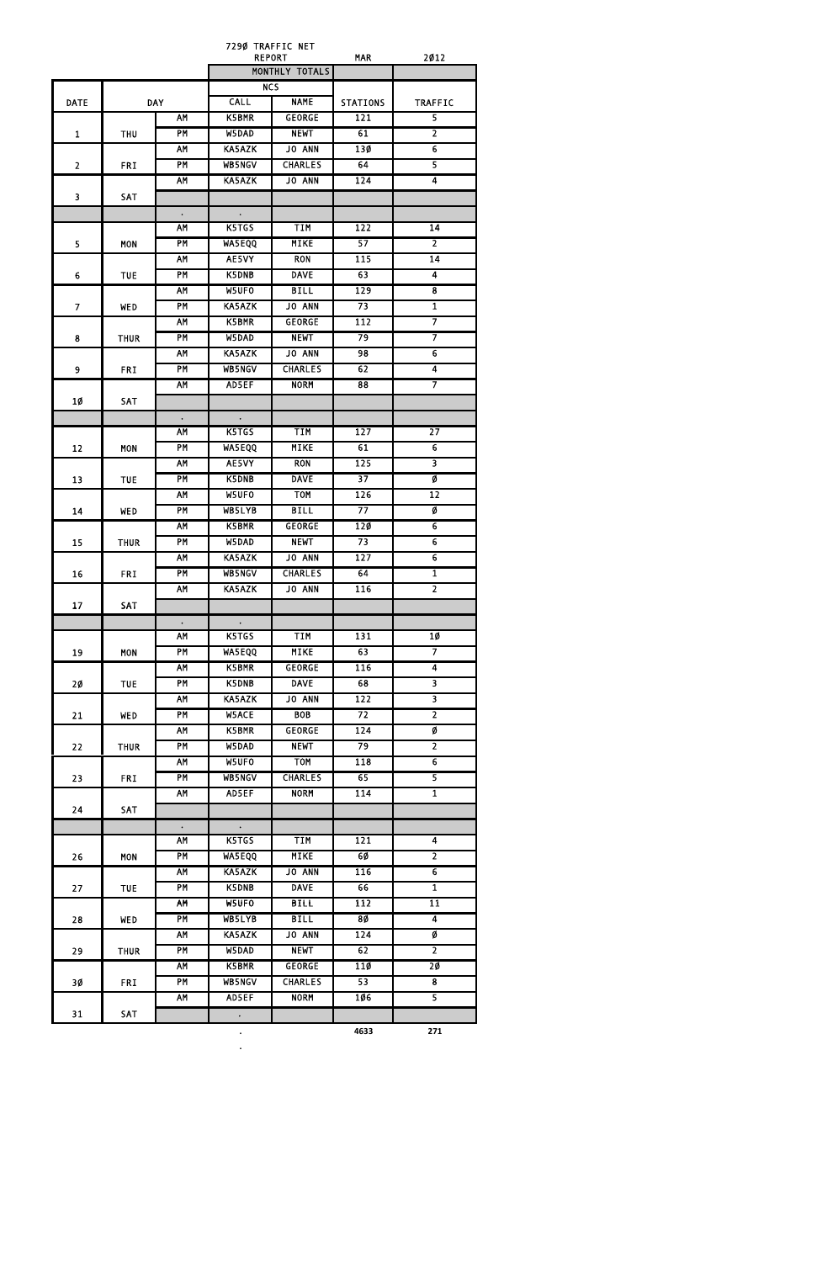7290 TRAFFIC NET

|                 |                  |                 |                      | <b>REPORT</b>  | <b>MAR</b>      | 2012                    |
|-----------------|------------------|-----------------|----------------------|----------------|-----------------|-------------------------|
|                 |                  |                 |                      | MONTHLY TOTALS |                 |                         |
|                 |                  |                 |                      | <b>NCS</b>     |                 |                         |
| <b>DATE</b>     |                  | <b>DAY</b>      | <b>CALL</b>          | <b>NAME</b>    | <b>STATIONS</b> | <b>TRAFFIC</b>          |
|                 |                  | <b>AM</b>       | K5BMR                | <b>GEORGE</b>  | 121             | $\overline{\mathbf{5}}$ |
| $\mathbf{1}$    | <b>THU</b>       | <b>PM</b>       | W5DAD                | <b>NEWT</b>    | 61              | $\overline{2}$          |
|                 |                  | AM              | <b>KA5AZK</b>        | <b>JO ANN</b>  | 130             | 6                       |
| $\overline{2}$  | <b>FRI</b>       | <b>PM</b>       | <b>WB5NGV</b>        | <b>CHARLES</b> | 64              | $\overline{\mathsf{5}}$ |
|                 |                  | <b>AM</b>       | KA5AZK               | JO ANN         | 124             | 4                       |
| 3               | <b>SAT</b>       |                 |                      |                |                 |                         |
|                 |                  | $\bullet$       | $\bullet$            |                |                 |                         |
|                 |                  | AM              | K5TGS                | <b>TIM</b>     | 122             | 14                      |
| 5               | <b>MON</b>       | <b>PM</b>       | <b>WA5EQQ</b>        | <b>MIKE</b>    | 57              | 2                       |
|                 |                  | <b>AM</b>       | AE5VY                | <b>RON</b>     | 115             | $\overline{14}$         |
| 6               | <b>TUE</b>       | PM              | K5DNB                | <b>DAVE</b>    | 63              | 4                       |
|                 |                  | <b>AM</b>       | W5UFO                | <b>BILL</b>    | 129             | 8                       |
| $\overline{7}$  | <b>WED</b>       | PM              | KA5AZK               | <b>JO ANN</b>  | $\overline{73}$ | $\overline{\mathbf{1}}$ |
|                 |                  | AM              | K5BMR                | <b>GEORGE</b>  | 112             | 7                       |
| 8               | <b>THUR</b>      | PM              | W5DAD                | <b>NEWT</b>    | 79              | 7                       |
|                 |                  | <b>AM</b>       | KA5AZK               | JO ANN         | 98              | $\overline{6}$          |
| 9               | <b>FRI</b>       | PM              | <b>WB5NGV</b>        | <b>CHARLES</b> | 62              | 4                       |
|                 |                  | <b>AM</b>       | AD5EF                | <b>NORM</b>    | $\overline{88}$ | $\overline{\mathbf{z}}$ |
| 10              | SAT              |                 |                      |                |                 |                         |
|                 |                  | $\bullet$       | $\bullet$            |                |                 |                         |
|                 |                  | <b>AM</b>       | K5TGS                | <b>TIM</b>     | 127             | $\overline{27}$         |
| 12              | <b>MON</b>       | <b>PM</b>       | <b>WA5EQQ</b>        | <b>MIKE</b>    | 61              | $\overline{6}$          |
|                 |                  | <b>AM</b>       | AE5VY                | <b>RON</b>     | 125             | $\overline{\mathbf{3}}$ |
|                 | 13<br><b>TUE</b> | <b>PM</b>       | K5DNB                | <b>DAVE</b>    | $\overline{37}$ | Ø                       |
|                 |                  | <b>AM</b>       | W5UF0                | <b>TOM</b>     | 126             | $\overline{12}$         |
| 14              | WED              | PM              | <b>WB5LYB</b>        | <b>BILL</b>    | $\overline{77}$ | Ø                       |
|                 |                  | AM              | K5BMR                | <b>GEORGE</b>  | 120             | 6                       |
| 15              | <b>THUR</b>      | <b>PM</b>       | W5DAD                | <b>NEWT</b>    | 73              | $\overline{6}$          |
|                 |                  | <b>AM</b>       | <b>KA5AZK</b>        | JO ANN         | 127             | $\overline{6}$          |
| 16              | <b>FRI</b>       | <b>PM</b>       | <b>WB5NGV</b>        | <b>CHARLES</b> | 64              | $\overline{\mathbf{1}}$ |
|                 |                  | AM              | <b>KA5AZK</b>        | JO ANN         | 116             | $\overline{2}$          |
| 17              | SAT              |                 |                      |                |                 |                         |
|                 |                  |                 |                      |                |                 |                         |
|                 |                  | $\bullet$<br>AM | $\bullet$ .<br>K5TGS | <b>TIM</b>     | 131             | 10                      |
|                 |                  | PM              | <b>WA5EQQ</b>        | <b>MIKE</b>    | 63              | 7                       |
| 19              | <b>MON</b>       | <b>AM</b>       | K5BMR                |                | 116             | 4                       |
|                 |                  |                 |                      | <b>GEORGE</b>  |                 |                         |
| 20 <sub>o</sub> | <b>TUE</b>       | <b>PM</b>       | K5DNB                | <b>DAVE</b>    | 68              | $\overline{\mathbf{3}}$ |
|                 |                  | <b>AM</b>       | KA5AZK               | <b>JO ANN</b>  | 122             | $\overline{\mathbf{3}}$ |
| 21              | <b>WED</b>       | PM              | <b>W5ACE</b>         | <b>BOB</b>     | 72              | $\overline{2}$          |
|                 |                  | <b>AM</b>       | K5BMR                | <b>GEORGE</b>  | 124             | Ø                       |
| 22              | <b>THUR</b>      | PM              | W5DAD                | <b>NEWT</b>    | 79              | $\overline{2}$          |
|                 |                  | <b>AM</b>       | W5UFO                | <b>TOM</b>     | 118             | 6                       |
| 23              | <b>FRI</b>       | PM              | <b>WB5NGV</b>        | <b>CHARLES</b> | 65              | $\overline{\mathsf{5}}$ |
|                 |                  | <b>AM</b>       | AD5EF                | <b>NORM</b>    | 114             | $\overline{\mathbf{1}}$ |
| 24              | SAT              |                 |                      |                |                 |                         |
|                 |                  | $\bullet$       | $\sim 10^{-11}$      |                |                 |                         |
|                 |                  | <b>AM</b>       | K5TGS                | TIM            | 121             | 4                       |
| 26              | <b>MON</b>       | <b>PM</b>       | <b>WA5EQQ</b>        | <b>MIKE</b>    | 60              | $\overline{2}$          |
|                 |                  | <b>AM</b>       | <b>KA5AZK</b>        | <b>JO ANN</b>  | 116             | $\overline{6}$          |
| 27              | <b>TUE</b>       | PM              | <b>K5DNB</b>         | <b>DAVE</b>    | 66              | $\overline{\mathbf{1}}$ |
|                 |                  | <b>AM</b>       | W5UFO                | <b>BILL</b>    | 112             | $\overline{11}$         |
| 28              | <b>WED</b>       | PM              | WB5LYB               | <b>BILL</b>    | <b>8Ø</b>       | $\overline{4}$          |

|    |             | AΜ | <b>KA5AZK</b> | <b>JO ANN</b>  | 124  | Ø   |
|----|-------------|----|---------------|----------------|------|-----|
| 29 | <b>THUR</b> | PM | W5DAD         | <b>NEWT</b>    | 62   |     |
|    |             | AM | K5BMR         | <b>GEORGE</b>  | 11Ø  | 20  |
| 3Ø | <b>FRI</b>  | ΡM | <b>WB5NGV</b> | <b>CHARLES</b> | 53   | 8   |
|    |             | AM | AD5EF         | <b>NORM</b>    | 106  |     |
| 31 | <b>SAT</b>  |    |               |                |      |     |
|    |             |    | ٠             |                | 4633 | 271 |

**.**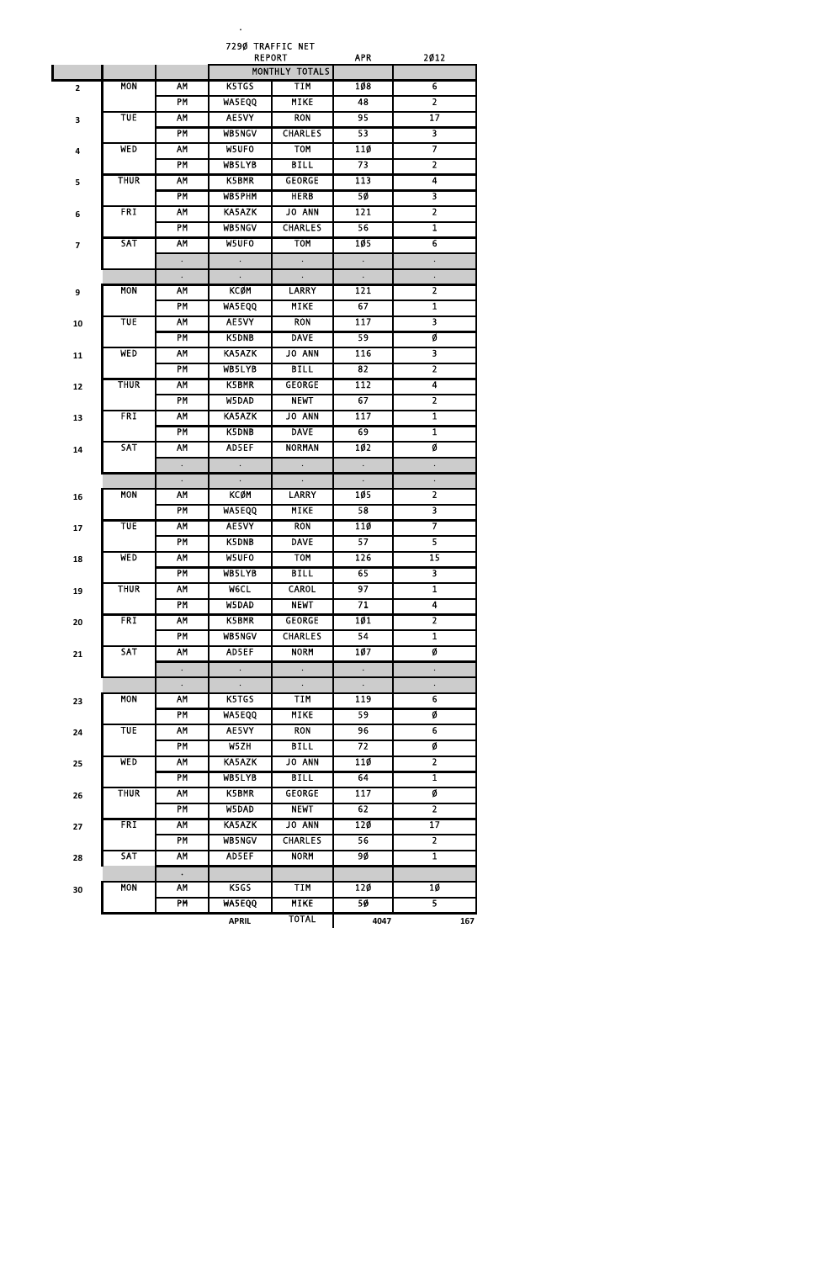**.**

7290 TRAFFIC NET

|                         |             |                        |                      | <b>REPORT</b>        | <b>APR</b>           | 2012                    |
|-------------------------|-------------|------------------------|----------------------|----------------------|----------------------|-------------------------|
|                         |             |                        |                      | MONTHLY TOTALS       |                      |                         |
| $\overline{\mathbf{2}}$ | <b>MON</b>  | AM                     | K5TGS                | TIM                  | 108                  | 6                       |
|                         |             | PM                     | <b>WA5EQQ</b>        | <b>MIKE</b>          | 48                   | $\overline{2}$          |
| 3                       | <b>TUE</b>  | AM                     | AE5VY                | <b>RON</b>           | 95                   | $\overline{17}$         |
|                         |             | PM                     | <b>WB5NGV</b>        | <b>CHARLES</b>       | 53                   | $\overline{\mathbf{3}}$ |
| 4                       | <b>WED</b>  | <b>AM</b>              | W5UFO                | <b>TOM</b>           | 110                  | 7                       |
|                         |             | <b>PM</b>              | WB5LYB               | <b>BILL</b>          | 73                   | $\overline{2}$          |
| 5                       | <b>THUR</b> | AM                     | K5BMR                | <b>GEORGE</b>        | 113                  | 4                       |
|                         |             | PM                     | <b>WB5PHM</b>        | <b>HERB</b>          | 50                   | 3                       |
|                         | <b>FRI</b>  | AM                     | <b>KA5AZK</b>        | JO ANN               | 121                  | $\overline{2}$          |
| 6                       |             | <b>PM</b>              | WB5NGV               | <b>CHARLES</b>       | 56                   | $\overline{\mathbf{1}}$ |
|                         | <b>SAT</b>  | AM                     | W5UFO                | <b>TOM</b>           | 105                  | 6                       |
| $\overline{\mathbf{z}}$ |             |                        |                      |                      |                      |                         |
|                         |             | $\ddot{\phantom{0}}$   | $\Box$               | $\Box$               | $\Box$               | $\ddot{\phantom{0}}$    |
|                         |             |                        | $\Box$               | $\Box$               | $\ddot{\phantom{0}}$ |                         |
| 9                       | <b>MON</b>  | AM                     | KCØM                 | <b>LARRY</b>         | 121                  | $\overline{2}$          |
|                         |             | PM                     | <b>WA5EQQ</b>        | <b>MIKE</b>          | 67                   | $\overline{\mathbf{1}}$ |
| 10                      | <b>TUE</b>  | AΜ                     | AE5VY                | <b>RON</b>           | 117                  | 3                       |
|                         |             | <b>PM</b>              | K5DNB                | <b>DAVE</b>          | 59                   | Ø                       |
| 11                      | <b>WED</b>  | <b>AM</b>              | <b>KA5AZK</b>        | <b>JO ANN</b>        | 116                  | $\overline{\mathbf{3}}$ |
|                         |             | PM                     | <b>WB5LYB</b>        | <b>BILL</b>          | 82                   | $\overline{2}$          |
| 12                      | <b>THUR</b> | AM                     | <b>K5BMR</b>         | <b>GEORGE</b>        | 112                  | $\overline{4}$          |
|                         |             | PM                     | W5DAD                | <b>NEWT</b>          | 67                   | $\overline{2}$          |
| 13                      | <b>FRI</b>  | AM                     | <b>KA5AZK</b>        | JO ANN               | 117                  | $\overline{1}$          |
|                         |             | PM                     | <b>K5DNB</b>         | <b>DAVE</b>          | 69                   | $\mathbf{1}$            |
| 14                      | <b>SAT</b>  | <b>AM</b>              | AD5EF                | <b>NORMAN</b>        | <b>102</b>           | Ø                       |
|                         |             | $\ddot{\phantom{0}}$   | $\ddot{\phantom{0}}$ | $\Box$               | $\Box$               | $\ddot{\phantom{0}}$    |
|                         |             |                        |                      | $\Box$               | $\ddot{\phantom{0}}$ | $\ddot{\phantom{0}}$    |
| 16                      | <b>MON</b>  | AM                     | <b>KCØM</b>          | <b>LARRY</b>         | 105                  | $\overline{2}$          |
|                         |             | PM                     | WA5EQQ               | <b>MIKE</b>          | 58                   | $\overline{\mathbf{3}}$ |
|                         | <b>TUE</b>  | <b>AM</b>              | AE5VY                | <b>RON</b>           | 110                  | $\overline{7}$          |
| 17                      |             | PM                     | K5DNB                | <b>DAVE</b>          | 57                   | 5                       |
|                         | <b>WED</b>  | <b>AM</b>              | W5UFO                | <b>TOM</b>           | 126                  | $\overline{15}$         |
| 18                      |             |                        |                      |                      |                      |                         |
|                         |             | PM                     | WB5LYB               | <b>BILL</b>          | 65                   | $\overline{\mathbf{3}}$ |
| 19                      | <b>THUR</b> | <b>AM</b>              | <b>MeCL</b>          | <b>CAROL</b>         | 97                   | $\mathbf{1}$            |
|                         |             | <b>PM</b>              | W5DAD                | <b>NEWT</b>          | 71                   | 4                       |
| 20                      | <b>FRI</b>  | <b>AM</b>              | K5BMR                | <b>GEORGE</b>        | <b>101</b>           | $\overline{2}$          |
|                         |             | <b>PM</b>              | <b>WB5NGV</b>        | <b>CHARLES</b>       | 54                   | $\overline{\mathbf{1}}$ |
| 21                      | <b>SAT</b>  | <b>AM</b>              | AD5EF                | <b>NORM</b>          | 107                  | Ø                       |
|                         |             | $\bullet$              | $\Box$               | $\Box$               | $\Box$               | $\Box$                  |
|                         |             |                        |                      | $\ddot{\phantom{a}}$ | $\ddot{\phantom{0}}$ |                         |
| 23                      | <b>MON</b>  | AΜ                     | K5TGS                | <b>TIM</b>           | 119                  | 6                       |
|                         |             | <b>PM</b>              | <b>WA5EQQ</b>        | <b>MIKE</b>          | 59                   | Ø                       |
| 24                      | <b>TUE</b>  | <b>AM</b>              | AE5VY                | <b>RON</b>           | 96                   | $\overline{6}$          |
|                         |             | <b>PM</b>              | W5ZH                 | <b>BILL</b>          | 72                   | Ø                       |
| 25                      | <b>WED</b>  | <b>AM</b>              | <b>KA5AZK</b>        | <b>JO ANN</b>        | 110                  | $\overline{2}$          |
|                         |             | PM                     | WB5LYB               | <b>BILL</b>          | 64                   | $\mathbf{1}$            |
| 26                      | <b>THUR</b> | <b>AM</b>              | K5BMR                | <b>GEORGE</b>        | 117                  | Ø                       |
|                         |             | <b>PM</b>              | W5DAD                | <b>NEWT</b>          | 62                   | $\overline{2}$          |
| 27                      | <b>FRI</b>  | <b>AM</b>              | KA5AZK               | JO ANN               | 120                  | $\overline{17}$         |
|                         |             | <b>PM</b>              | <b>WB5NGV</b>        | <b>CHARLES</b>       | 56                   | $\overline{2}$          |
| 28                      | <b>SAT</b>  | <b>AM</b>              | AD5EF                | <b>NORM</b>          | 90                   | $\overline{1}$          |
|                         |             |                        |                      |                      |                      |                         |
|                         | <b>MON</b>  | $\bullet$<br><b>AM</b> | K5GS                 | <b>TIM</b>           | <b>120</b>           | 10                      |
| 30                      |             | <b>PM</b>              | <b>WA5EQQ</b>        | <b>MIKE</b>          | 50                   | $\overline{5}$          |
|                         |             |                        |                      |                      |                      |                         |
|                         |             |                        | <b>APRIL</b>         | <b>TOTAL</b>         | 4047                 | 167                     |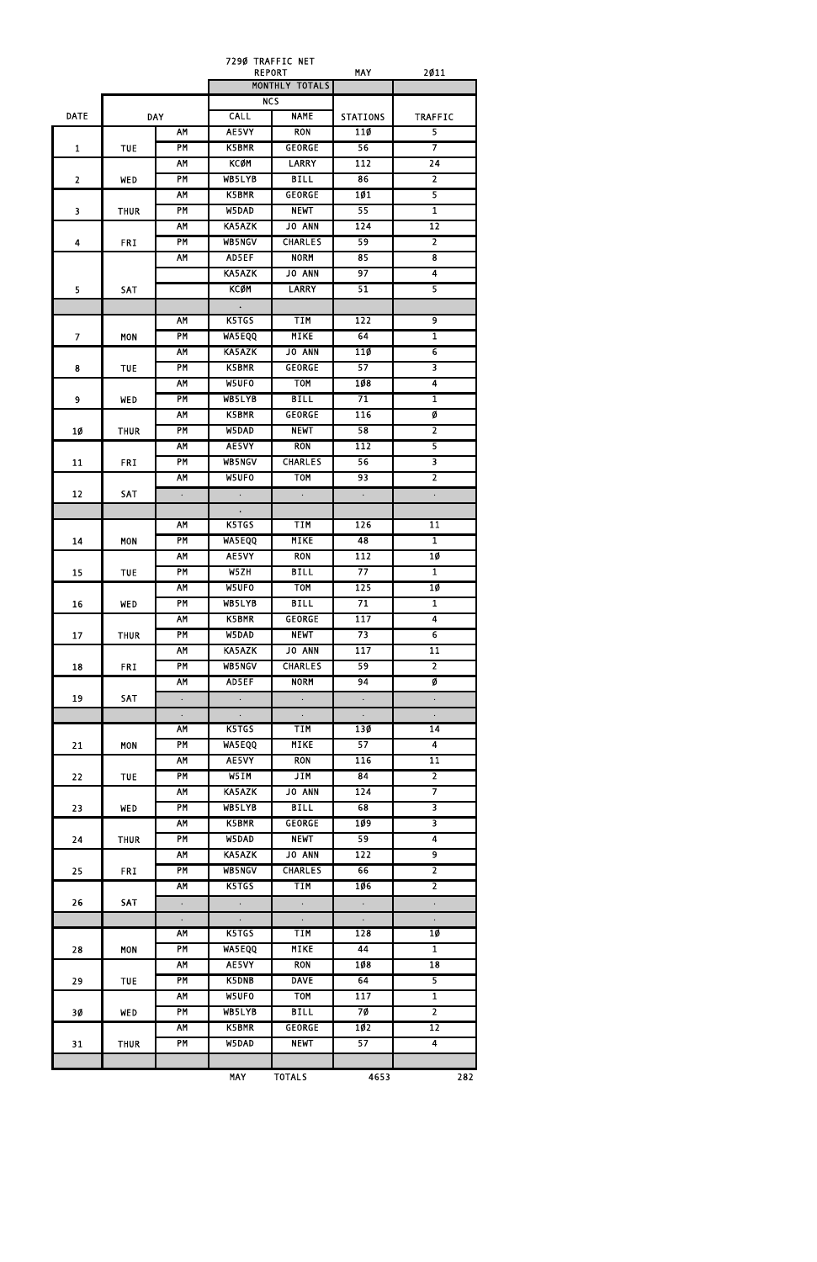|                         |             |                      | 7290 TRAFFIC NET |                             |                      |                         |
|-------------------------|-------------|----------------------|------------------|-----------------------------|----------------------|-------------------------|
|                         |             |                      | <b>REPORT</b>    | MONTHLY TOTALS              | <b>MAY</b>           | 2011                    |
|                         |             |                      | <b>NCS</b>       |                             |                      |                         |
| <b>DATE</b>             |             | <b>DAY</b>           | <b>CALL</b>      | <b>NAME</b>                 | <b>STATIONS</b>      | <b>TRAFFIC</b>          |
|                         |             | AM                   | AE5VY            | <b>RON</b>                  | 11Ø                  | $\overline{5}$          |
| $\mathbf{1}$            | <b>TUE</b>  | <b>PM</b>            | <b>K5BMR</b>     | <b>GEORGE</b>               | 56                   | $\overline{7}$          |
|                         |             | <b>AM</b>            | KCØM             | <b>LARRY</b>                | 112                  | $\overline{24}$         |
| $\overline{2}$          | <b>WED</b>  | PM                   | WB5LYB           | <b>BILL</b>                 | 86                   | $\overline{2}$          |
|                         |             | <b>AM</b>            | K5BMR            | <b>GEORGE</b>               | 101                  | $\overline{5}$          |
| $\overline{\mathbf{3}}$ | <b>THUR</b> | PM                   | W5DAD            | <b>NEWT</b>                 | 55                   | $\overline{1}$          |
|                         |             | <b>AM</b>            | KA5AZK           | JO ANN                      | 124                  | 12                      |
| 4                       | <b>FRI</b>  | PM                   | <b>WB5NGV</b>    | <b>CHARLES</b>              | 59                   | $\overline{2}$          |
|                         |             | <b>AM</b>            | AD5EF            | <b>NORM</b>                 | 85                   | $\overline{\mathbf{8}}$ |
|                         |             |                      | <b>KA5AZK</b>    | JO ANN                      | 97                   | $\overline{4}$          |
| 5                       | <b>SAT</b>  |                      | KCØM             | <b>LARRY</b>                | 51                   | $\overline{5}$          |
|                         |             |                      | $\bullet$ .      |                             |                      |                         |
|                         |             | <b>AM</b>            | K5TGS            | TIM                         | 122                  | $\overline{9}$          |
| $\mathbf{7}$            | <b>MON</b>  | <b>PM</b>            | WA5EQQ           | <b>MIKE</b>                 | 64                   | $\overline{1}$          |
|                         |             | <b>AM</b>            | KA5AZK           | <b>JO ANN</b>               | 110                  | $\overline{6}$          |
| 8                       | <b>TUE</b>  | PM                   | K5BMR            | <b>GEORGE</b>               | 57                   | $\overline{\mathbf{3}}$ |
|                         |             | <b>AM</b>            | W5UFO            | <b>TOM</b>                  | 108                  | $\overline{4}$          |
| 9                       | <b>WED</b>  | <b>PM</b>            | WB5LYB           | <b>BILL</b>                 | 71                   | $\mathbf{1}$            |
|                         |             | <b>AM</b>            | <b>K5BMR</b>     | <b>GEORGE</b>               | 116                  | Ø                       |
| 1Ø                      | <b>THUR</b> | <b>PM</b>            | W5DAD            | <b>NEWT</b>                 | 58                   | $\overline{2}$          |
|                         |             | <b>AM</b>            | AE5VY            | <b>RON</b>                  | 112                  | $\overline{5}$          |
| 11                      | <b>FRI</b>  | PM                   | <b>WB5NGV</b>    | <b>CHARLES</b>              | 56                   | $\overline{\mathbf{3}}$ |
|                         |             | <b>AM</b>            | W5UFO            | <b>TOM</b>                  | 93                   | $\overline{2}$          |
| 12                      | <b>SAT</b>  | $\Box$               | $\sim$ $-$       | $\Box$                      | $\Box$               | $\Box$                  |
|                         |             |                      | $\bullet$        |                             |                      |                         |
|                         |             | <b>AM</b>            | K5TGS            | TIM                         | 126                  | 11                      |
| 14                      | <b>MON</b>  | PM                   | <b>WA5EQQ</b>    | <b>MIKE</b>                 | 48                   | $\overline{1}$          |
|                         |             | <b>AM</b>            | AE5VY            | <b>RON</b>                  | 112                  | 10                      |
| 15                      | <b>TUE</b>  | PM                   | W5ZH             | <b>BILL</b>                 | 77                   | $\overline{1}$          |
|                         |             | <b>AM</b>            | W5UFO            | <b>TOM</b>                  | 125                  | <b>10</b>               |
| 16                      | <b>WED</b>  | PM                   | WB5LYB           | <b>BILL</b>                 | 71                   | $\overline{1}$          |
|                         |             | <b>AM</b>            | K5BMR            | <b>GEORGE</b>               | 117                  | $\overline{4}$          |
| 17                      | <b>THUR</b> | PM                   | W5DAD            | <b>NEWT</b>                 | 73                   | $\overline{6}$          |
|                         |             | <b>AM</b>            | <b>KA5AZK</b>    | <b>JO ANN</b>               | 117                  | $\overline{11}$         |
| 18                      | <b>FRI</b>  | <b>PM</b>            | <b>WB5NGV</b>    | <b>CHARLES</b>              | 59                   | $\overline{2}$          |
|                         |             | <b>AM</b>            | AD5EF            | <b>NORM</b>                 | 94                   | Ø                       |
| 19                      | SAT         | $\Box$               | $\sim 10^{-1}$   | $\mathcal{L}^{\pm}$         | $\ddot{\phantom{0}}$ | $\bullet$               |
|                         |             | $\Box$               | $\sim$           | $\mathcal{L}_{\mathcal{A}}$ | $\epsilon$           | $\Box$                  |
|                         |             | <b>AM</b>            | K5TGS            | TIM                         | 130                  | $\overline{14}$         |
| 21                      | <b>MON</b>  | PM                   | <b>WA5EQQ</b>    | <b>MIKE</b>                 | 57                   | $\overline{4}$          |
|                         |             | <b>AM</b>            | AE5VY            | <b>RON</b>                  | 116                  | 11                      |
| 22                      | <b>TUE</b>  | <b>PM</b>            | W5IM             | <b>JIM</b>                  | 84                   | $\overline{2}$          |
|                         |             | <b>AM</b>            | KA5AZK           | JO ANN                      | 124                  | $\overline{\tau}$       |
| 23                      | <b>WED</b>  | PM                   | WB5LYB           | <b>BILL</b>                 | 68                   | $\overline{\mathbf{3}}$ |
|                         |             | <b>AM</b>            | K5BMR            | <b>GEORGE</b>               | 109                  | $\overline{\mathbf{3}}$ |
| 24                      | <b>THUR</b> | PM                   | W5DAD            | <b>NEWT</b>                 | 59                   | $\overline{4}$          |
|                         |             | <b>AM</b>            | <b>KA5AZK</b>    | <b>JO ANN</b>               | 122                  | 9                       |
| 25                      | <b>FRI</b>  | <b>PM</b>            | <b>WB5NGV</b>    | <b>CHARLES</b>              | 66                   | $\overline{2}$          |
|                         |             | <b>AM</b>            | K5TGS            | <b>TIM</b>                  | <b>106</b>           | $\overline{2}$          |
| 26                      | SAT         | $\Box$               | $\sim$           | $\mathcal{L}^{\pm}$         | $\Box$               | $\bullet$               |
|                         |             | $\ddot{\phantom{0}}$ | ۰                | $\Box$                      | $\Box$               |                         |
|                         |             | <b>AM</b>            | K5TGS            | TIM                         | 128                  | 10                      |
|                         | <b>MON</b>  | <b>PM</b>            | <b>WA5EQQ</b>    | <b>MIKE</b>                 | 44                   | $\overline{1}$          |
| 28                      |             | <b>AM</b>            | AE5VY            | <b>RON</b>                  | 108                  | 18                      |
|                         |             |                      | K5DNB            | <b>DAVE</b>                 | 64                   | $\overline{\mathbf{5}}$ |
| 29                      | <b>TUE</b>  | PM                   |                  |                             |                      |                         |
|                         |             | <b>AM</b>            | W5UFO            | <b>TOM</b>                  | 117                  | $\overline{1}$          |
| 30                      | <b>WED</b>  | PM                   | WB5LYB           | <b>BILL</b>                 | 7Ø                   | $\overline{2}$          |
|                         |             | <b>AM</b>            | K5BMR            | <b>GEORGE</b>               | 10 <sub>2</sub>      | 12                      |
| 31                      | <b>THUR</b> | <b>PM</b>            | W5DAD            | <b>NEWT</b>                 | 57                   | $\overline{4}$          |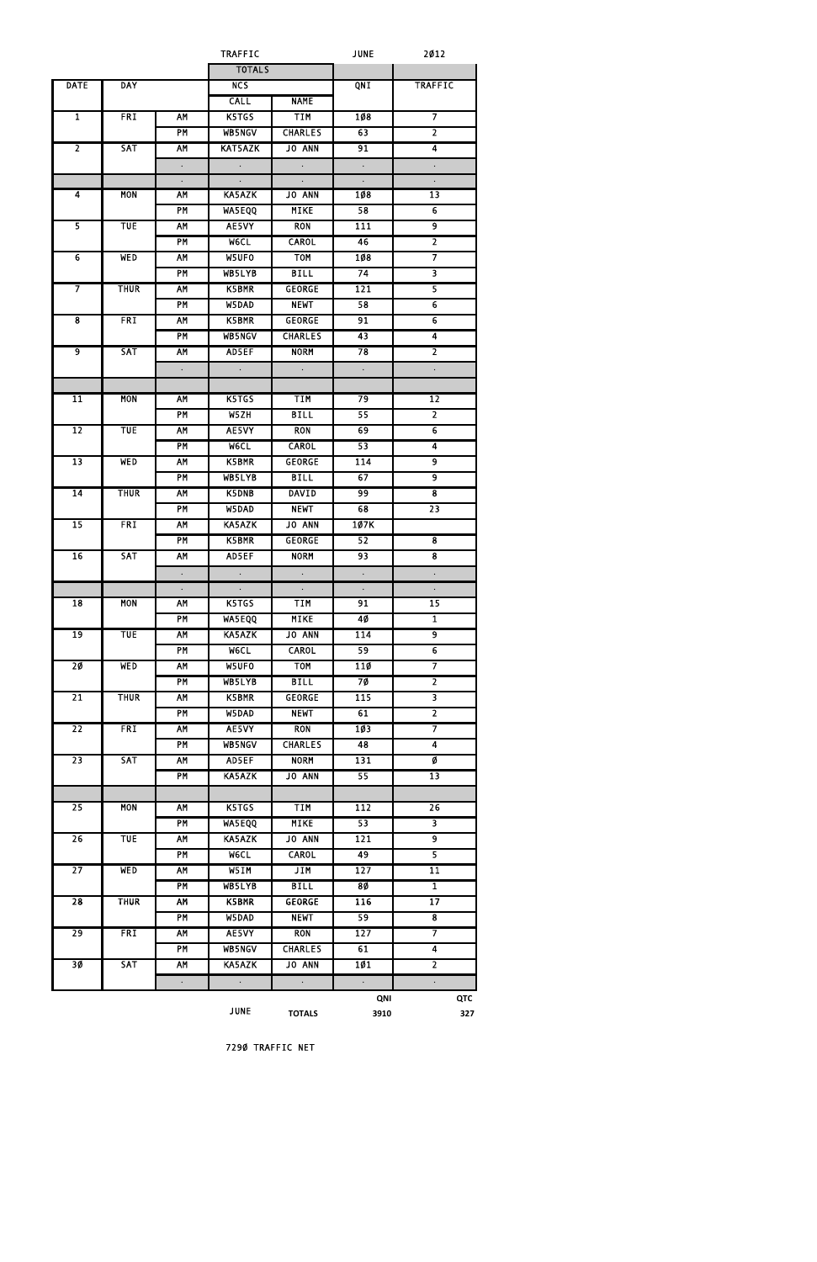|                         |             |                      | <b>TRAFFIC</b>       |                      | <b>JUNE</b>          | 2012                    |  |
|-------------------------|-------------|----------------------|----------------------|----------------------|----------------------|-------------------------|--|
|                         |             |                      | <b>TOTALS</b>        |                      |                      |                         |  |
| <b>DATE</b>             | <b>DAY</b>  |                      | NC <sub>S</sub>      |                      | QNI                  | <b>TRAFFIC</b>          |  |
|                         |             |                      | <b>CALL</b>          | <b>NAME</b>          |                      |                         |  |
| $\overline{1}$          | <b>FRI</b>  | AM                   | K5TGS                | <b>TIM</b>           | 108                  | 7                       |  |
|                         |             | <b>PM</b>            | WB5NGV               | <b>CHARLES</b>       | 63                   | $\overline{\mathbf{2}}$ |  |
| $\overline{2}$          | <b>SAT</b>  | AM                   | <b>KAT5AZK</b>       | JO ANN               | 91                   | 4                       |  |
|                         |             | $\Box$               | $\sim$               | $\sim$               | $\sim$               |                         |  |
|                         |             |                      |                      |                      |                      | $\bullet$               |  |
|                         |             | $\Box$               | $\sim$               | $\sim$               | $\Box$               | $\Box$                  |  |
| $\overline{\mathbf{A}}$ | <b>MON</b>  | <b>AM</b>            | KA5AZK               | JO ANN               | 108                  | $\overline{13}$         |  |
|                         |             | PM                   | WA5EQQ               | <b>MIKE</b>          | 58                   | $\overline{6}$          |  |
| 5                       | <b>TUE</b>  | AM                   | AE5VY                | <b>RON</b>           | 111                  | $\overline{9}$          |  |
|                         |             | <b>PM</b>            | <b>MeCL</b>          | <b>CAROL</b>         | 46                   | $\overline{2}$          |  |
| $\overline{6}$          | <b>WED</b>  | <b>AM</b>            | W5UFO                | <b>TOM</b>           | 108                  | 7                       |  |
|                         |             | <b>PM</b>            | WB5LYB               | <b>BILL</b>          | 74                   | $\overline{\mathbf{3}}$ |  |
|                         | <b>THUR</b> | AM                   | K5BMR                | <b>GEORGE</b>        | 121                  | 5                       |  |
|                         |             | <b>PM</b>            | W5DAD                | <b>NEWT</b>          | 58                   | $\overline{6}$          |  |
| $\overline{\mathbf{8}}$ | <b>FRI</b>  | AM                   | K5BMR                | <b>GEORGE</b>        | 91                   | $\overline{6}$          |  |
|                         |             | PM                   | WB5NGV               | <b>CHARLES</b>       | 43                   | 4                       |  |
|                         |             |                      |                      |                      |                      |                         |  |
| $\overline{9}$          | <b>SAT</b>  | AM                   | AD5EF                | <b>NORM</b>          | 78                   | $\overline{\mathbf{2}}$ |  |
|                         |             | $\ddot{\phantom{0}}$ | $\ddot{\phantom{0}}$ | $\ddot{\phantom{0}}$ | $\ddot{\phantom{0}}$ |                         |  |
|                         |             |                      |                      |                      |                      |                         |  |
| $\overline{11}$         | <b>MON</b>  | AM                   | K5TGS                | <b>TIM</b>           | 79                   | $\overline{12}$         |  |
|                         |             | <b>PM</b>            | W5ZH                 | <b>BILL</b>          | 55                   | $\overline{2}$          |  |
| 12                      | <b>TUE</b>  | AM                   | AE5VY                | <b>RON</b>           | 69                   | $\overline{6}$          |  |
|                         |             | <b>PM</b>            | <b>MeCL</b>          | <b>CAROL</b>         | 53                   | $\overline{4}$          |  |
| $\overline{13}$         | <b>WED</b>  | AM                   | K5BMR                | <b>GEORGE</b>        | 114                  | 9                       |  |
|                         |             | PM                   | <b>WB5LYB</b>        | <b>BILL</b>          | 67                   | 9                       |  |
| $\overline{14}$         | <b>THUR</b> |                      |                      |                      |                      |                         |  |
|                         |             | AM                   | <b>K5DNB</b>         | <b>DAVID</b>         | 99                   | $\overline{\mathbf{8}}$ |  |
|                         |             | <b>PM</b>            | W5DAD                | <b>NEWT</b>          | 68                   | $\overline{23}$         |  |
| $\overline{15}$         | <b>FRI</b>  | <b>AM</b>            | <b>KA5AZK</b>        | <b>JO ANN</b>        | 107K                 |                         |  |
|                         |             | PM                   | K5BMR                | <b>GEORGE</b>        | 52                   | $\overline{\bf 8}$      |  |
| 16                      | <b>SAT</b>  | <b>AM</b>            | AD5EF                | <b>NORM</b>          | 93                   | $\overline{\mathbf{8}}$ |  |
|                         |             |                      |                      |                      |                      |                         |  |
|                         |             | $\Box$               |                      | $\Box$               | $\Box$               | $\ddot{\phantom{0}}$    |  |
| $\overline{18}$         | <b>MON</b>  | <b>AM</b>            | K5TGS                | <b>TIM</b>           | 91                   | $\overline{15}$         |  |
|                         |             | <b>PM</b>            | <b>WASEQQ</b>        | <b>MIKE</b>          | 40                   | $\overline{\mathbf{1}}$ |  |
| 19                      | <b>TUE</b>  | <b>AM</b>            | <b>KA5AZK</b>        | <b>JO ANN</b>        | 114                  | $\overline{9}$          |  |
|                         |             | PM                   | <b>W6CL</b>          | <b>CAROL</b>         | 59                   | $\overline{6}$          |  |
| 20                      | <b>WED</b>  |                      |                      |                      |                      | 7                       |  |
|                         |             | <b>AM</b>            | W5UFO                | <b>TOM</b>           | <b>110</b>           |                         |  |
|                         |             | <b>PM</b>            | WB5LYB               | <b>BILL</b>          | 70                   | $\overline{2}$          |  |
| $\overline{21}$         | <b>THUR</b> | <b>AM</b>            | K5BMR                | <b>GEORGE</b>        | $\overline{115}$     | $\overline{\mathbf{3}}$ |  |
|                         |             | <b>PM</b>            | W5DAD                | <b>NEWT</b>          | 61                   | $\overline{2}$          |  |
| $\overline{22}$         | <b>FRI</b>  | <b>AM</b>            | AE5VY                | <b>RON</b>           | 103                  | 7                       |  |
|                         |             | <b>PM</b>            | <b>WB5NGV</b>        | <b>CHARLES</b>       | 48                   | 4                       |  |
| $\overline{23}$         | <b>SAT</b>  | <b>AM</b>            | AD5EF                | <b>NORM</b>          | 131                  | Ø                       |  |
|                         |             | PM                   | <b>KA5AZK</b>        | <b>JO ANN</b>        | 55                   | $\overline{13}$         |  |
|                         |             |                      |                      |                      |                      |                         |  |
| 25                      | <b>MON</b>  | <b>AM</b>            | K5TGS                | <b>TIM</b>           | 112                  | $\overline{26}$         |  |
|                         |             | <b>PM</b>            | <b>WASEQQ</b>        | <b>MIKE</b>          | 53                   | $\overline{\mathbf{3}}$ |  |
|                         |             |                      |                      |                      |                      | $\overline{9}$          |  |
| 26                      | <b>TUE</b>  | <b>AM</b>            | KA5AZK               | <b>JO ANN</b>        | 121                  |                         |  |
|                         |             | <b>PM</b>            | <b>WeCL</b>          | <b>CAROL</b>         | 49                   | 5                       |  |
| $\overline{27}$         | <b>WED</b>  | <b>AM</b>            | W5IM                 | JIM                  | $\overline{127}$     | 11                      |  |
|                         |             | PM                   | WB5LYB               | <b>BILL</b>          | 80                   | $\overline{\mathbf{1}}$ |  |
| $\overline{28}$         | <b>THUR</b> | <b>AM</b>            | K5BMR                | <b>GEORGE</b>        | 116                  | $\overline{17}$         |  |
|                         |             | <b>PM</b>            | W5DAD                | <b>NEWT</b>          | 59                   | $\overline{\mathbf{8}}$ |  |
| 29                      | <b>FRI</b>  | <b>AM</b>            | AE5VY                | <b>RON</b>           | 127                  | 7                       |  |
|                         |             | PM                   | <b>WB5NGV</b>        | <b>CHARLES</b>       | 61                   | 4                       |  |
| 3Ø                      | <b>SAT</b>  | <b>AM</b>            | KA5AZK               | JO ANN               | 101                  | $\overline{\mathbf{c}}$ |  |
|                         |             |                      |                      |                      |                      |                         |  |
|                         |             |                      |                      |                      |                      |                         |  |
|                         |             |                      | <b>JUNE</b>          | <b>TOTALS</b>        | QNI<br>3910          | QTC<br>327              |  |

7290 TRAFFIC NET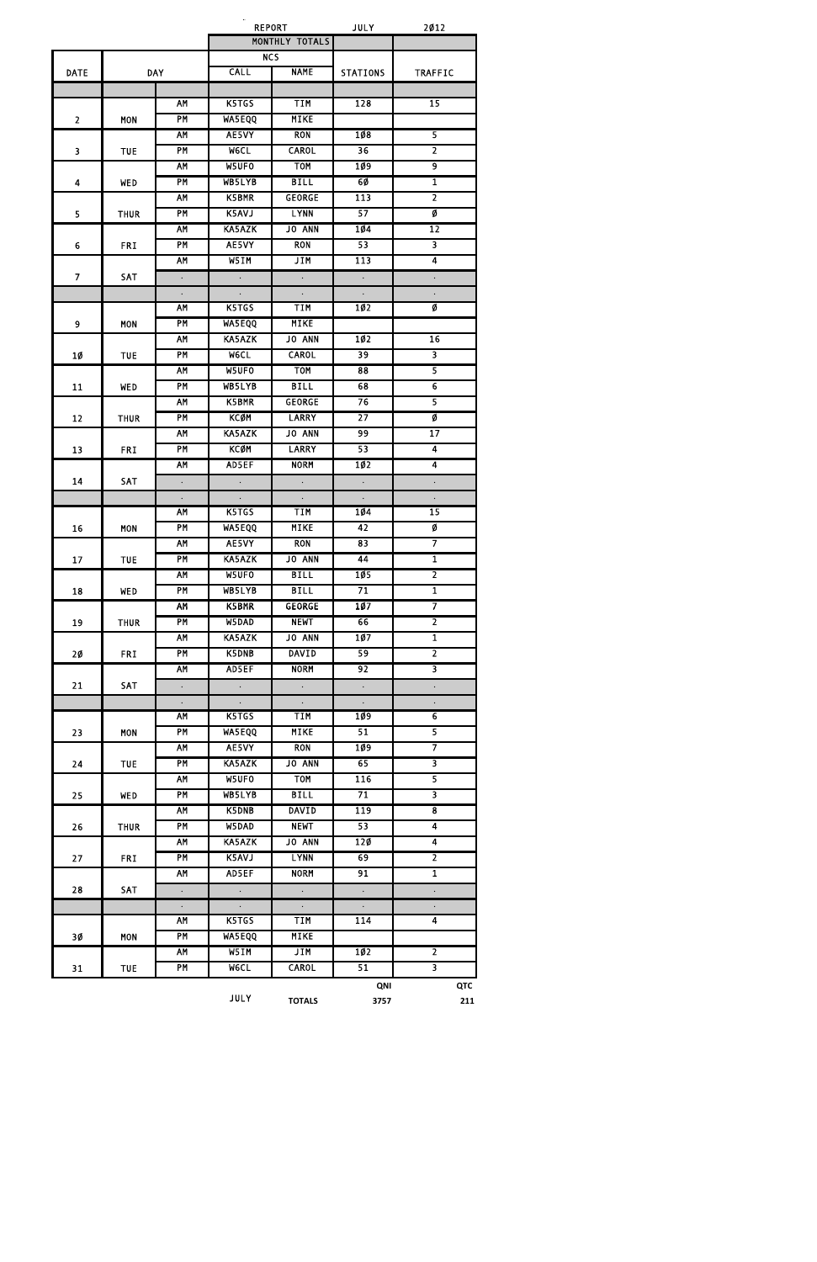|                |             |                      | <b>REPORT</b>        |                      | <b>JULY</b>          | 2012                      |
|----------------|-------------|----------------------|----------------------|----------------------|----------------------|---------------------------|
|                |             |                      |                      | MONTHLY TOTALS       |                      |                           |
|                |             |                      | <b>NCS</b>           |                      |                      |                           |
| <b>DATE</b>    |             | <b>DAY</b>           | <b>CALL</b>          | <b>NAME</b>          | <b>STATIONS</b>      | <b>TRAFFIC</b>            |
|                |             | AM                   | K5TGS                | <b>TIM</b>           | 128                  | $\overline{15}$           |
| $\overline{2}$ | <b>MON</b>  | PM                   | <b>WA5EQQ</b>        | <b>MIKE</b>          |                      |                           |
|                |             | <b>AM</b>            | AE5VY                | <b>RON</b>           | 108                  | 5                         |
| 3              | <b>TUE</b>  | PM                   | <b>W6CL</b>          | <b>CAROL</b>         | 36                   | $\overline{2}$            |
|                |             | <b>AM</b>            | W5UFO                | <b>TOM</b>           | 109                  | $\overline{9}$            |
| 4              | <b>WED</b>  | <b>PM</b>            | WB5LYB               | <b>BILL</b>          | 60                   | $\overline{\mathbf{1}}$   |
|                |             | <b>AM</b>            | <b>K5BMR</b>         | <b>GEORGE</b>        | 113                  | $\overline{2}$            |
| 5              | <b>THUR</b> | <b>PM</b>            | K5AVJ                | <b>LYNN</b>          | 57                   | Ø                         |
|                |             | <b>AM</b>            | <b>KA5AZK</b>        | <b>JO ANN</b>        | 104                  | 12                        |
| 6              | <b>FRI</b>  | <b>PM</b>            | AE5VY                | <b>RON</b>           | 53                   | $\overline{\mathbf{3}}$   |
|                |             | <b>AM</b>            | W5IM                 | <b>JIM</b>           | 113                  | $\overline{\mathbf{4}}$   |
| $\overline{7}$ | SAT         | $\ddot{\phantom{0}}$ | $\ddot{\phantom{0}}$ |                      | $\ddot{\phantom{0}}$ |                           |
|                |             | $\Box$               | $\Box$               | $\ddot{\phantom{0}}$ | $\ddot{\phantom{0}}$ | $\bullet$                 |
|                |             | <b>AM</b>            | K5TGS                | <b>TIM</b>           | 102                  | Ø                         |
| 9              | <b>MON</b>  | PM                   | WA5EQQ               | <b>MIKE</b>          |                      |                           |
|                |             | <b>AM</b>            | <b>KA5AZK</b>        | <b>JO ANN</b>        | 102                  | 16                        |
| <b>10</b>      | <b>TUE</b>  | <b>PM</b>            | <b>MeCL</b>          | <b>CAROL</b>         | 39                   | $\overline{\mathbf{3}}$   |
|                |             | <b>AM</b>            | W5UFO                | <b>TOM</b>           | 88                   |                           |
| 11             | <b>WED</b>  | PM                   | WB5LYB               | <b>BILL</b>          | 68                   | $\overline{6}$            |
|                |             | <b>AM</b>            | K5BMR                | <b>GEORGE</b>        | 76                   | 5                         |
| 12             | <b>THUR</b> | PM                   | <b>KCØM</b>          | <b>LARRY</b>         | $\overline{27}$      | Ø                         |
|                |             | <b>AM</b>            | <b>KA5AZK</b>        | <b>JO ANN</b>        | 99                   | 17                        |
| 13             | <b>FRI</b>  | <b>PM</b>            | <b>KCØM</b>          | <b>LARRY</b>         | 53                   | $\overline{4}$            |
|                |             | <b>AM</b>            | AD5EF                | <b>NORM</b>          | 102                  | 4                         |
| 14             | SAT         |                      |                      |                      |                      |                           |
|                |             | $\ddot{\phantom{0}}$ |                      |                      |                      |                           |
|                |             | <b>AM</b>            | K5TGS                | <b>TIM</b>           | 104                  | $\Box$<br>$\overline{15}$ |
| 16             | <b>MON</b>  | PM                   | <b>WA5EQQ</b>        | <b>MIKE</b>          | 42                   | Ø                         |
|                |             | <b>AM</b>            | AE5VY                | <b>RON</b>           | 83                   |                           |
| 17             | <b>TUE</b>  | <b>PM</b>            | <b>KA5AZK</b>        | <b>JO ANN</b>        | 44                   | $\mathbf{1}$              |
|                |             | <b>AM</b>            | W5UFO                | <b>BILL</b>          | 105                  | $\overline{2}$            |
| 18             | <b>WED</b>  | PM                   | WB5LYB               | <b>BILL</b>          | 71                   | $\overline{1}$            |
|                |             | <b>AM</b>            | <b>K5BMR</b>         | <b>GEORGE</b>        | 107                  | 7                         |
| 19             | <b>THUR</b> | PM                   | W5DAD                | <b>NEWT</b>          | 66                   | $\overline{2}$            |
|                |             | <b>AM</b>            | KA5AZK               | JO ANN               | 107                  | $\mathbf{1}$              |
| 20             | <b>FRI</b>  | PM                   | K5DNB                | <b>DAVID</b>         | 59                   | $\overline{2}$            |
|                |             | AM                   | AD5EF                | <b>NORM</b>          | 92                   | $\overline{\mathbf{3}}$   |
| 21             | <b>SAT</b>  | $\ddot{\phantom{0}}$ | $\ddot{\phantom{0}}$ | $\ddot{\phantom{0}}$ | $\Box$               | $\ddot{\phantom{0}}$      |
|                |             | $\Box$               | $\Box$               | $\Box$               | $\Box$               | $\Box$                    |
|                |             | AM                   | K5TGS                | <b>TIM</b>           | 109                  | 6                         |
| 23             | <b>MON</b>  | PM                   | <b>WA5EQQ</b>        | <b>MIKE</b>          | 51                   | $\overline{5}$            |
|                |             | <b>AM</b>            | AE5VY                | <b>RON</b>           | 1Ø9                  | 7                         |
| 24             | <b>TUE</b>  | <b>PM</b>            | <b>KA5AZK</b>        | JO ANN               | 65                   | $\overline{\mathbf{3}}$   |
|                |             | <b>AM</b>            | W5UFO                | <b>TOM</b>           | 116                  |                           |
| 25             | WED         | <b>PM</b>            | WB5LYB               | <b>BILL</b>          | 71                   | $\overline{\mathbf{3}}$   |
|                |             | <b>AM</b>            | <b>K5DNB</b>         | <b>DAVID</b>         | 119                  | 8                         |
| 26             | <b>THUR</b> | <b>PM</b>            | W5DAD                | <b>NEWT</b>          | 53                   | $\overline{4}$            |
|                |             | <b>AM</b>            | <b>KA5AZK</b>        | JO ANN               | 120                  | $\overline{\mathbf{4}}$   |
| 27             | <b>FRI</b>  | <b>PM</b>            | K5AVJ                | <b>LYNN</b>          | 69                   | $\overline{2}$            |
|                |             | <b>AM</b>            | AD5EF                | <b>NORM</b>          | 91                   | $\overline{\mathbf{1}}$   |
| 28             | SAT         |                      | $\ddot{\phantom{0}}$ | $\ddot{\phantom{0}}$ | $\Box$               |                           |
|                |             | $\ddot{\phantom{0}}$ |                      |                      |                      |                           |
|                |             | $\Box$<br><b>AM</b>  | $\sim$<br>K5TGS      | $\Box$<br><b>TIM</b> | $\Box$<br>114        | $\bullet$<br>4            |
|                |             | PM                   | <b>WA5EQQ</b>        | <b>MIKE</b>          |                      |                           |
| 3Ø             | <b>MON</b>  | <b>AM</b>            | W5IM                 | JIM                  | 102                  | $\overline{2}$            |
|                |             |                      |                      |                      |                      |                           |
| 31             | <b>TUE</b>  | PM                   | <b>MeCL</b>          | <b>CAROL</b>         | 51                   | 3                         |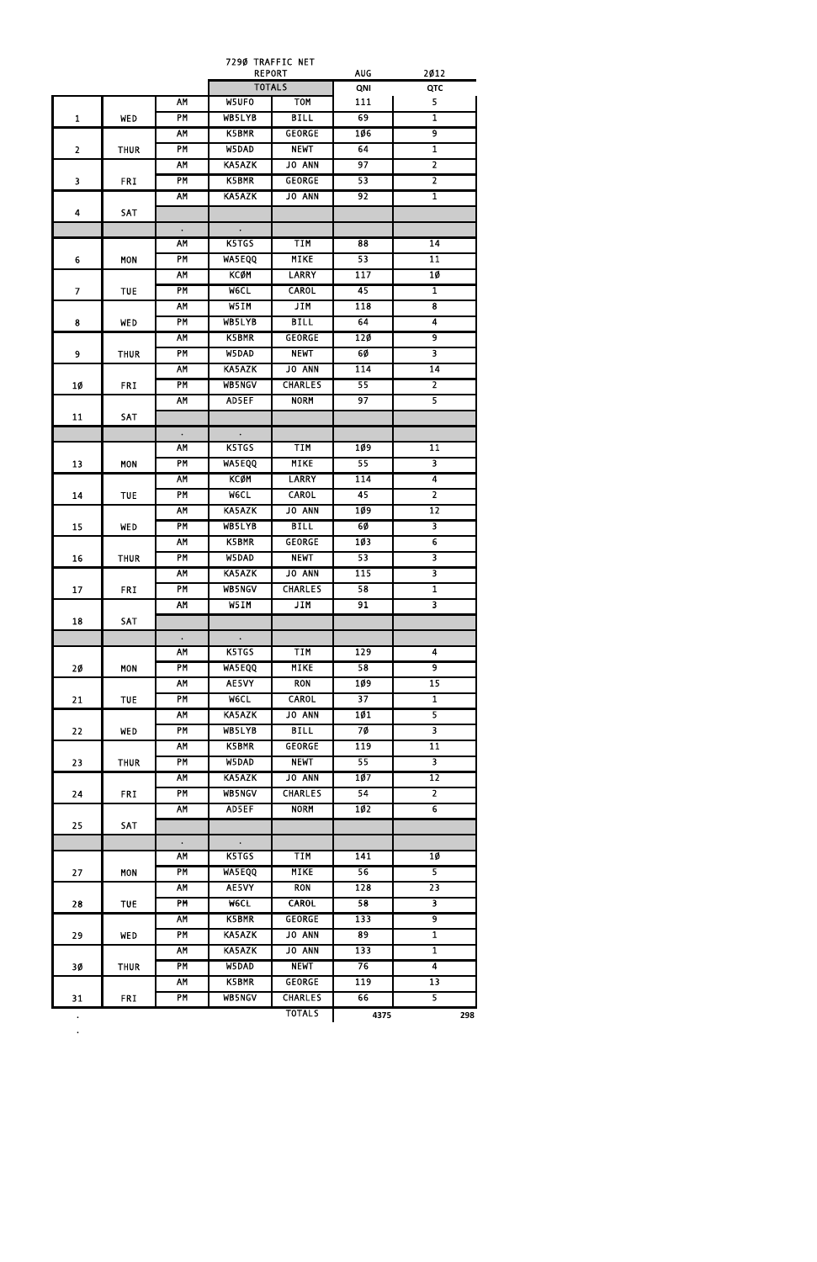|                |             |                 | 7290 TRAFFIC NET               |                |                  |                         |
|----------------|-------------|-----------------|--------------------------------|----------------|------------------|-------------------------|
|                |             |                 | <b>REPORT</b><br><b>TOTALS</b> |                | AUG<br>QNI       | 2012<br>QTC             |
|                |             | <b>AM</b>       | W5UF0                          | <b>TOM</b>     | 111              | 5                       |
| $\mathbf{1}$   | WED         | PM              | <b>WB5LYB</b>                  | <b>BILL</b>    | 69               | $\mathbf{1}$            |
|                |             | <b>AM</b>       | K5BMR                          | <b>GEORGE</b>  | 106              | $\overline{9}$          |
| $\overline{2}$ |             | $\overline{PM}$ | W5DAD                          | <b>NEWT</b>    | 64               | $\overline{\mathbf{1}}$ |
|                | <b>THUR</b> | <b>AM</b>       | <b>KA5AZK</b>                  | JO ANN         | 97               | $\overline{2}$          |
|                |             | PM              |                                | <b>GEORGE</b>  | 53               | $\overline{2}$          |
| 3              | <b>FRI</b>  |                 | K5BMR                          |                |                  |                         |
|                |             | AM              | KA5AZK                         | JO ANN         | 92               | $\overline{1}$          |
| 4              | SAT         |                 |                                |                |                  |                         |
|                |             | $\bullet$       | $\bullet$                      |                |                  |                         |
|                |             | AM              | K5TGS                          | <b>TIM</b>     | 88               | 14                      |
| 6              | <b>MON</b>  | PM              | <b>WA5EQQ</b>                  | <b>MIKE</b>    | 53               | $\overline{11}$         |
|                |             | <b>AM</b>       | <b>KCØM</b>                    | <b>LARRY</b>   | 117              | 10                      |
| $\overline{7}$ | <b>TUE</b>  | PM              | W6CL                           | <b>CAROL</b>   | 45               | 1                       |
|                |             | <b>AM</b>       | W5IM                           | <b>JIM</b>     | 118              | $\overline{\mathbf{8}}$ |
| 8              | <b>WED</b>  | $\overline{PM}$ | WB5LYB                         | <b>BILL</b>    | 64               | 4                       |
|                |             | <b>AM</b>       | K5BMR                          | <b>GEORGE</b>  | 120              | $\overline{9}$          |
| 9              | <b>THUR</b> | PM              | W5DAD                          | <b>NEWT</b>    | 60               | $\overline{\mathbf{3}}$ |
|                |             | <b>AM</b>       | KA5AZK                         | <b>JO ANN</b>  | 114              | $\overline{14}$         |
| 10             | <b>FRI</b>  | PM              | <b>WB5NGV</b>                  | <b>CHARLES</b> | 55               | $\overline{2}$          |
|                |             | AM              | AD5EF                          | <b>NORM</b>    | 97               | $\overline{5}$          |
| 11             | SAT         |                 |                                |                |                  |                         |
|                |             | $\bullet$       | $\bullet$                      |                |                  |                         |
|                |             | <b>AM</b>       | K5TGS                          | <b>TIM</b>     | 109              | $\overline{11}$         |
| 13             | <b>MON</b>  | PM              | WA5EQQ                         | <b>MIKE</b>    | 55               | $\overline{\mathbf{3}}$ |
|                |             | <b>AM</b>       | <b>KCØM</b>                    | <b>LARRY</b>   | 114              | 4                       |
| 14             | <b>TUE</b>  | PM              | <b>WeCL</b>                    | <b>CAROL</b>   | 45               | $\overline{2}$          |
|                |             | <b>AM</b>       | <b>KA5AZK</b>                  | <b>JO ANN</b>  | 109              | $\overline{12}$         |
| 15             | <b>WED</b>  | <b>PM</b>       | WB5LYB                         | <b>BILL</b>    | 6Ø               | $\overline{\mathbf{3}}$ |
|                |             | <b>AM</b>       | K5BMR                          | <b>GEORGE</b>  | 103              | $\overline{6}$          |
| 16             | <b>THUR</b> | PM              | W5DAD                          | <b>NEWT</b>    | 53               | $\overline{\mathbf{3}}$ |
|                |             | <b>AM</b>       | KA5AZK                         | <b>JO ANN</b>  | 115              | $\overline{\mathbf{3}}$ |
| 17             | <b>FRI</b>  | PM              | <b>WB5NGV</b>                  | <b>CHARLES</b> | 58               | $\overline{1}$          |
|                |             | <b>AM</b>       | W5IM                           | <b>JIM</b>     | 91               | $\overline{\mathbf{3}}$ |
| 18             | SAT         |                 |                                |                |                  |                         |
|                |             | $\bullet$       | $\bullet$                      |                |                  |                         |
|                |             | <b>AM</b>       | K5TGS                          | <b>TIM</b>     | $\overline{129}$ | 4                       |
| 2Ø             | <b>MON</b>  | PM              | <b>WA5EQQ</b>                  | <b>MIKE</b>    | 58               | 9                       |
|                |             | <b>AM</b>       | AE5VY                          | <b>RON</b>     | 109              | $\overline{15}$         |
| 21             | <b>TUE</b>  | PM              | <b>MeCL</b>                    | <b>CAROL</b>   | $\overline{37}$  | $\overline{\mathbf{1}}$ |
|                |             | <b>AM</b>       | <b>KA5AZK</b>                  | <b>JO ANN</b>  | 101              | $\overline{5}$          |
|                |             | PM              | WB5LYB                         | <b>BILL</b>    | 70               | $\overline{\mathbf{3}}$ |
| 22             | WED         | <b>AM</b>       | K5BMR                          | <b>GEORGE</b>  | 119              | 11                      |
|                |             | PM              | W5DAD                          | <b>NEWT</b>    | 55               | $\overline{\mathbf{3}}$ |
| 23             | <b>THUR</b> | <b>AM</b>       | <b>KA5AZK</b>                  | <b>JO ANN</b>  | 107              | $\overline{12}$         |
|                |             | PM              |                                |                | 54               | $\overline{2}$          |
| 24             | <b>FRI</b>  |                 | <b>WB5NGV</b>                  | <b>CHARLES</b> |                  |                         |
|                |             | <b>AM</b>       | AD5EF                          | <b>NORM</b>    | 102              | $\overline{6}$          |
| 25             | <b>SAT</b>  |                 |                                |                |                  |                         |
|                |             | $\bullet$       | $\bullet$                      |                |                  |                         |
|                |             | <b>AM</b>       | K5TGS                          | <b>TIM</b>     | 141              | 10                      |
| 27             | <b>MON</b>  | PM              | <b>WA5EQQ</b>                  | <b>MIKE</b>    | 56               | $\overline{5}$          |
|                |             | <b>AM</b>       | AE5VY                          | <b>RON</b>     | 128              | $\overline{23}$         |
| 28             | <b>TUE</b>  | PM              | <b>MeCL</b>                    | <b>CAROL</b>   | 58               | $\overline{\mathbf{3}}$ |
|                |             | <b>AM</b>       | K5BMR                          | <b>GEORGE</b>  | 133              | $\overline{9}$          |
| 29             | <b>WED</b>  | PM              | <b>KA5AZK</b>                  | <b>JO ANN</b>  | 89               | $\overline{\mathbf{1}}$ |
|                |             | <b>AM</b>       | <b>KA5AZK</b>                  | <b>JO ANN</b>  | 133              | $\overline{\mathbf{1}}$ |
| 30             | <b>THUR</b> | PM              | W5DAD                          | <b>NEWT</b>    | 76               | 4                       |
|                |             | <b>AM</b>       | <b>K5BMR</b>                   | <b>GEORGE</b>  | 119              | $\overline{13}$         |
| 31             | <b>FRI</b>  | PM              | <b>WB5NGV</b>                  | <b>CHARLES</b> | 66               | $\overline{5}$          |
| $\bullet$      |             |                 |                                | <b>TOTALS</b>  | 4375             | 298                     |

**.**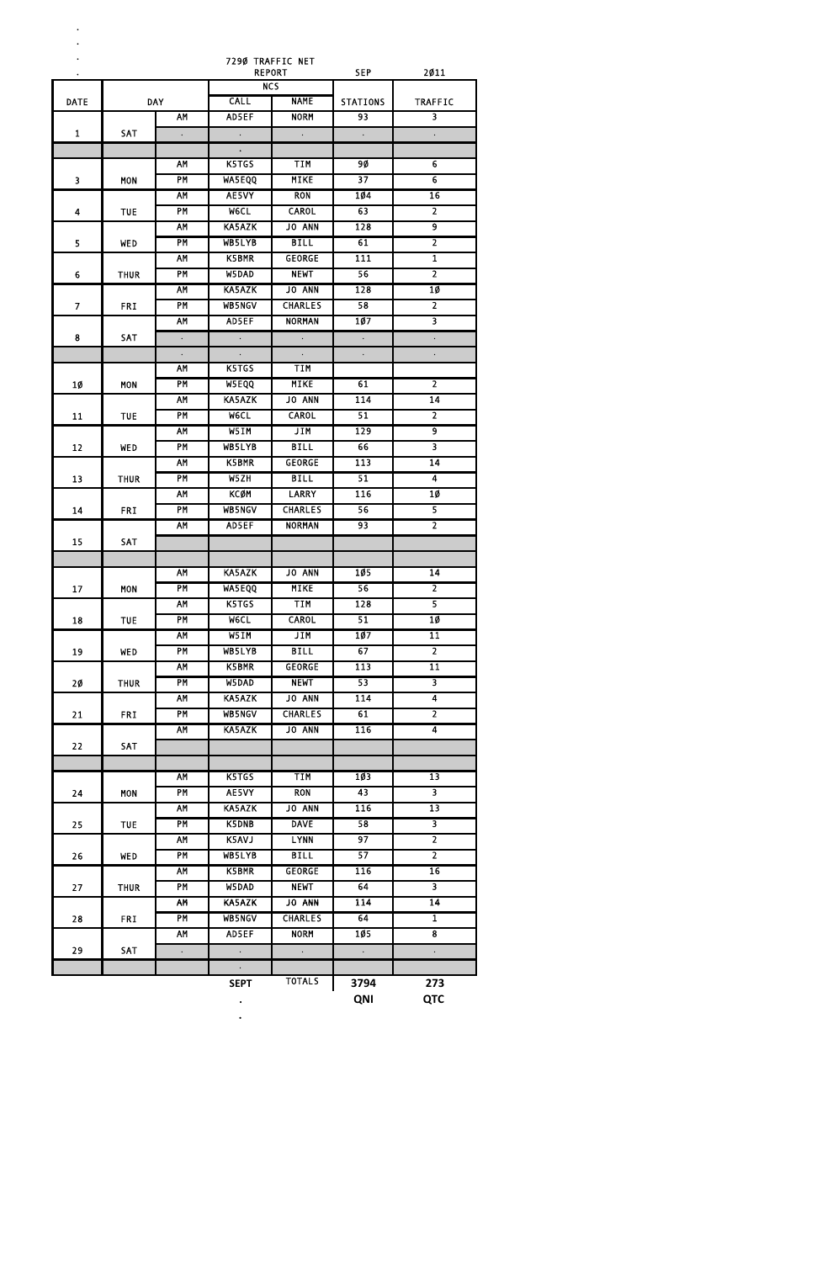**. . .**

| . NET |  |  |            |  |
|-------|--|--|------------|--|
|       |  |  | <b>CPD</b> |  |

7290 TRAFFIC NET

| $\bullet$               |             |                      |                      | <b>REPORT</b>             | <b>SEP</b>       | 2011                    |
|-------------------------|-------------|----------------------|----------------------|---------------------------|------------------|-------------------------|
|                         | <b>DAY</b>  |                      |                      | <b>NCS</b><br><b>NAME</b> |                  |                         |
| <b>DATE</b>             |             |                      | <b>CALL</b>          |                           | <b>STATIONS</b>  | <b>TRAFFIC</b>          |
|                         |             | AM                   | AD5EF                | <b>NORM</b>               | 93               | $\overline{\mathbf{3}}$ |
| $\mathbf{1}$            | <b>SAT</b>  | $\ddot{\phantom{0}}$ | $\ddot{\phantom{a}}$ | $\mathbb{Z}^2$            | $\sim$           | $\ddot{\phantom{0}}$    |
|                         |             |                      | $\ddot{\phantom{0}}$ |                           |                  |                         |
|                         |             | <b>AM</b>            | K5TGS                | <b>TIM</b>                | 90               | $\overline{6}$          |
| $\overline{\mathbf{3}}$ | <b>MON</b>  | <b>PM</b>            | <b>WA5EQQ</b>        | <b>MIKE</b>               | $\overline{37}$  | $\overline{6}$          |
|                         |             | <b>AM</b>            | AE5VY                | <b>RON</b>                | 104              | $\overline{16}$         |
| 4                       | <b>TUE</b>  | PM                   | <b>MeCL</b>          | <b>CAROL</b>              | 63               | $\overline{2}$          |
|                         |             | <b>AM</b>            | <b>KA5AZK</b>        | <b>JO ANN</b>             | $\overline{128}$ | 9                       |
| 5                       | <b>WED</b>  | PM                   | WB5LYB               | <b>BILL</b>               | 61               | $\overline{2}$          |
|                         |             | AM                   | K5BMR                | <b>GEORGE</b>             | 111              | $\overline{\mathbf{1}}$ |
| 6                       | <b>THUR</b> | PM                   | W5DAD                | <b>NEWT</b>               | 56               | $\overline{2}$          |
|                         |             | <b>AM</b>            | KA5AZK               | JO ANN                    | 128              | 10                      |
| $\overline{7}$          | <b>FRI</b>  | PM                   | <b>WB5NGV</b>        | <b>CHARLES</b>            | 58               | $\overline{2}$          |
|                         |             | <b>AM</b>            | AD5EF                | <b>NORMAN</b>             | 107              | $\overline{\mathbf{3}}$ |
| 8                       | SAT         | $\ddot{\phantom{a}}$ | $\sim$               | $\mathbb{Z}^2$            | $\mathcal{A}$    | $\ddot{\phantom{0}}$    |
|                         |             | $\Box$               | $\Box$               | $\Box$                    | $\Box$           | $\ddot{\phantom{0}}$    |
|                         |             | AM                   | K5TGS                | TIM                       |                  |                         |
| <b>1Ø</b>               | <b>MON</b>  | <b>PM</b>            | W5EQQ                | <b>MIKE</b>               | 61               | $\overline{2}$          |
|                         |             | <b>AM</b>            | KA5AZK               | JO ANN                    | 114              | 14                      |
| 11                      | <b>TUE</b>  | PM                   | <b>MeCL</b>          | <b>CAROL</b>              | 51               | $\overline{2}$          |
|                         |             | <b>AM</b>            | W5IM                 | JIM                       | 129              | $\overline{9}$          |
| 12                      | WED         | <b>PM</b>            | WB5LYB               | <b>BILL</b>               | 66               | $\overline{\mathbf{3}}$ |
|                         |             | AM                   | K5BMR                | <b>GEORGE</b>             | 113              | $\overline{14}$         |
| 13                      | <b>THUR</b> | <b>PM</b>            | W5ZH                 | <b>BILL</b>               | 51               | $\overline{4}$          |
|                         |             | AM                   | <b>KCØM</b>          | <b>LARRY</b>              | 116              | 10                      |
| 14                      | <b>FRI</b>  | <b>PM</b>            | <b>WB5NGV</b>        | <b>CHARLES</b>            | 56               | 5                       |
|                         |             | <b>AM</b>            | AD5EF                | <b>NORMAN</b>             | 93               | $\overline{2}$          |
| 15                      | <b>SAT</b>  |                      |                      |                           |                  |                         |
|                         |             |                      |                      |                           |                  |                         |
|                         |             | <b>AM</b>            | <b>KA5AZK</b>        | <b>JO ANN</b>             | 105              | $\overline{14}$         |
| 17                      | <b>MON</b>  | <b>PM</b>            | <b>WA5EQQ</b>        | <b>MIKE</b>               | 56               | $\overline{2}$          |
|                         |             | AM                   | K5TGS                | <b>TIM</b>                | 128              | 5                       |
| 18                      | TUE         | <b>PM</b>            | W6CL                 | <b>CAROL</b>              | 51               | 1Ø                      |
|                         |             | AM                   | W5IM                 | <b>JIM</b>                | 107              | $\overline{11}$         |
| 19                      | <b>WED</b>  | PM                   | WB5LYB               | <b>BILL</b>               | 67               | $\overline{2}$          |
|                         |             | AM                   | K5BMR                | <b>GEORGE</b>             | 113              | $\overline{11}$         |
| 20                      | <b>THUR</b> | PM                   | W5DAD                | <b>NEWT</b>               | 53               | $\overline{\mathbf{3}}$ |
|                         |             | AM                   | <b>KA5AZK</b>        | JO ANN                    | 114              | $\overline{4}$          |
| 21                      |             | PM                   | <b>WB5NGV</b>        | <b>CHARLES</b>            | 61               | $\overline{2}$          |
|                         | <b>FRI</b>  | AM                   | <b>KA5AZK</b>        | JO ANN                    | $\overline{116}$ | $\overline{4}$          |
|                         |             |                      |                      |                           |                  |                         |
| 22                      | <b>SAT</b>  |                      |                      |                           |                  |                         |
|                         |             | AM                   | K5TGS                | <b>TIM</b>                | 103              | $\overline{13}$         |
|                         |             |                      |                      |                           | 43               |                         |
| 24                      | <b>MON</b>  | PM                   | AE5VY                | <b>RON</b>                |                  | 3                       |
|                         |             | <b>AM</b>            | KA5AZK               | <b>JO ANN</b>             | 116              | 13                      |
| 25                      | <b>TUE</b>  | <b>PM</b>            | <b>K5DNB</b>         | <b>DAVE</b>               | 58               | $\overline{\mathbf{3}}$ |
|                         |             | AM                   | K5AVJ                | <b>LYNN</b>               | $\overline{97}$  | $\overline{2}$          |
| 26                      | <b>WED</b>  | PM                   | WB5LYB               | <b>BILL</b>               | 57               | $\overline{2}$          |
|                         |             | AM                   | <b>K5BMR</b>         | <b>GEORGE</b>             | 116              | $\overline{16}$         |
| 27                      | <b>THUR</b> | PM                   | W5DAD                | <b>NEWT</b>               | 64               | 3                       |
|                         |             | AM                   | <b>KA5AZK</b>        | JO ANN                    | 114              | 14                      |
| 28                      | <b>FRI</b>  | <b>PM</b>            | <b>WB5NGV</b>        | <b>CHARLES</b>            | 64               | $\overline{\mathbf{1}}$ |
|                         |             | AM                   | AD5EF                | <b>NORM</b>               | 105              | $\overline{\mathbf{8}}$ |
| 29                      | SAT         | $\Box$               | $\Box$               | $\Box$                    | $\sim$           | $\ddot{\phantom{0}}$    |
|                         |             |                      | $\bullet$            |                           |                  |                         |
|                         |             |                      | <b>SEPT</b>          | <b>TOTALS</b>             | 3794             | 273                     |
|                         |             |                      |                      |                           | <b>QNI</b>       | <b>QTC</b>              |

. The second state  $\mathcal{L}_\text{c}$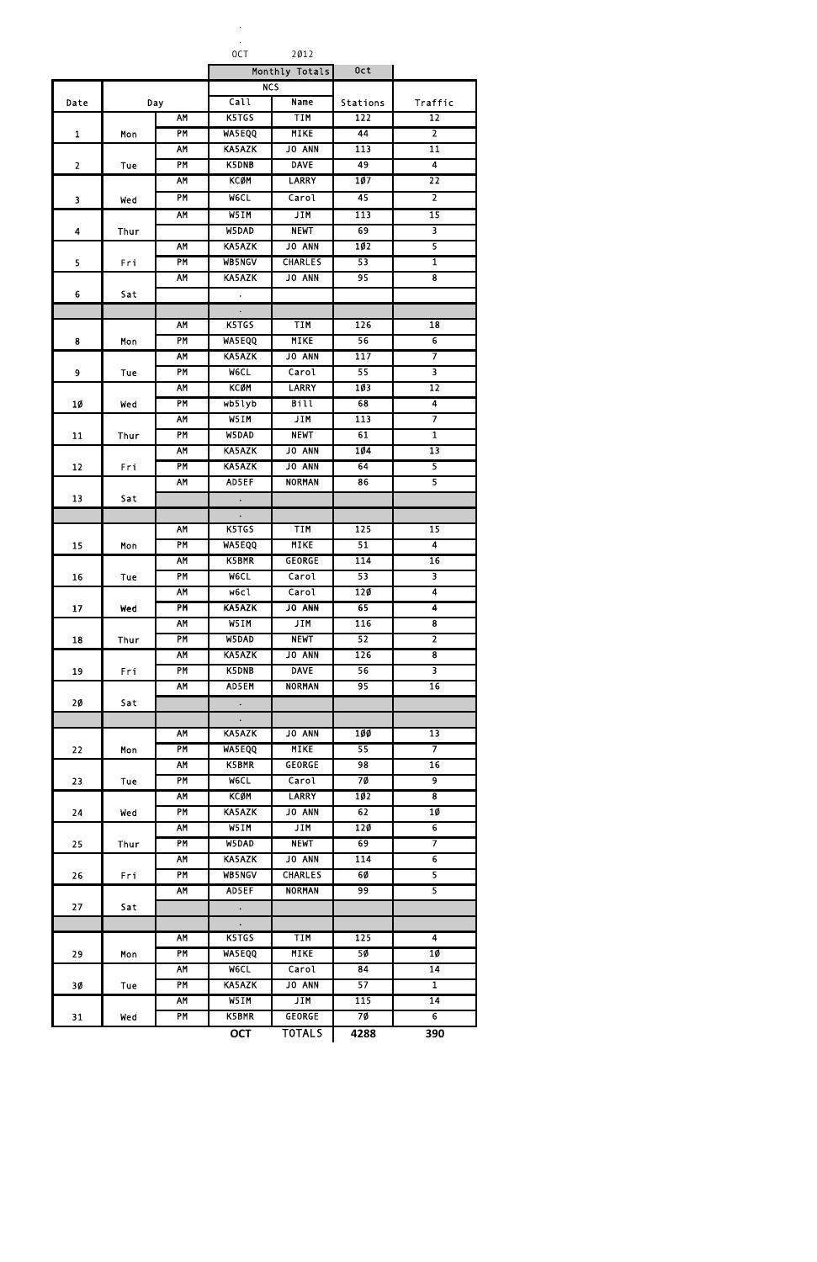. .

OCT 2012

| Monthly Totals | 0c t |
|----------------|------|

|                |             |                        |                               | Monthly Totals                  | 0ct              |                                                    |
|----------------|-------------|------------------------|-------------------------------|---------------------------------|------------------|----------------------------------------------------|
|                |             |                        | <b>NCS</b>                    |                                 |                  |                                                    |
| Date           | Day         |                        | Call                          | <b>Name</b>                     | Stations         | Traffic                                            |
|                |             | <b>AM</b>              | K5TGS                         | <b>TIM</b>                      | 122              | $\overline{12}$                                    |
| $\mathbf{1}$   | Mon         | <b>PM</b>              | <b>WA5EQQ</b>                 | <b>MIKE</b>                     | 44               | $\overline{2}$                                     |
|                |             | <b>AM</b>              | <b>KA5AZK</b>                 | JO ANN                          | 113              | $\overline{11}$                                    |
| $\overline{2}$ | Tue         | <b>PM</b>              | K5DNB                         | <b>DAVE</b>                     | 49               | $\overline{4}$                                     |
|                |             | <b>AM</b>              | <b>KCØM</b>                   | <b>LARRY</b>                    | $\overline{107}$ | $\overline{22}$                                    |
| 3              | Wed         | <b>PM</b>              | <b>WeCL</b>                   | Carol                           | 45               | $\overline{2}$                                     |
|                |             | <b>AM</b>              | W5IM                          | <b>JIM</b>                      | 113              | $\overline{15}$                                    |
| 4              | <b>Thur</b> |                        | W5DAD                         | <b>NEWT</b>                     | 69               | $\overline{\mathbf{3}}$                            |
|                |             | <b>AM</b>              | KA5AZK                        | JO ANN                          | 102              | 5                                                  |
| 5              | Fri         | <b>PM</b>              | <b>WB5NGV</b>                 | <b>CHARLES</b>                  | 53               | $\overline{\mathbf{1}}$                            |
|                |             | <b>AM</b>              | <b>KA5AZK</b>                 | JO ANN                          | 95               | $\overline{\mathbf{8}}$                            |
| 6              | Sat         |                        | $\bullet$                     |                                 |                  |                                                    |
|                |             |                        | $\ddot{\phantom{0}}$          |                                 |                  |                                                    |
|                |             | AM                     | K5TGS                         | <b>TIM</b>                      | 126              | 18                                                 |
| 8              | Mon         | <b>PM</b>              | <b>WA5EQQ</b>                 | <b>MIKE</b>                     | 56               | $\overline{6}$                                     |
|                |             | <b>AM</b>              | <b>KA5AZK</b>                 | <b>JO ANN</b>                   | 117              | 7                                                  |
| 9              | Tue         | PM                     | <b>WeCL</b>                   | Carol                           | 55               | $\overline{\mathbf{3}}$                            |
|                |             | <b>AM</b>              | <b>KCØM</b>                   | <b>LARRY</b>                    | 103              | $\overline{12}$                                    |
|                |             | <b>PM</b>              | wb5lyb                        | <b>Bill</b>                     | 68               | $\overline{4}$                                     |
| 1Ø             | Wed         | <b>AM</b>              | W5IM                          | <b>JIM</b>                      | 113              | 7                                                  |
|                |             | <b>PM</b>              | W5DAD                         | <b>NEWT</b>                     | 61               | $\overline{\mathbf{1}}$                            |
| 11             | Thur        |                        | <b>KA5AZK</b>                 |                                 | 104              | $\overline{13}$                                    |
|                |             | AM                     |                               | <b>JO ANN</b>                   |                  |                                                    |
| 12             | Fri         | <b>PM</b>              | <b>KA5AZK</b><br>AD5EF        | <b>JO ANN</b>                   | 64               | 5<br>5                                             |
|                |             | <b>AM</b>              |                               | <b>NORMAN</b>                   | 86               |                                                    |
| 13             | Sat         |                        | $\ddot{\phantom{0}}$          |                                 |                  |                                                    |
|                |             |                        | $\bullet$                     |                                 |                  |                                                    |
|                |             | ΑM                     | K5TGS                         | TIM                             | 125              | 15                                                 |
| 15             | Mon         | <b>PM</b>              | <b>WA5EQQ</b>                 | <b>MIKE</b>                     | 51               | $\overline{4}$                                     |
|                |             | <b>AM</b>              | K5BMR                         | <b>GEORGE</b>                   | 114              | 16                                                 |
| 16             | Tue         | <b>PM</b>              | <b>MeCL</b>                   | Carol                           | 53               | 3                                                  |
|                |             | <b>AM</b>              | W6c1                          | Carol                           | 120              | $\overline{4}$                                     |
| 17             | Wed         | <b>PM</b><br><b>AM</b> | KA5AZK                        | JO ANN                          | 65<br>116        | $\overline{\mathbf{4}}$<br>$\overline{\mathbf{8}}$ |
|                |             | <b>PM</b>              | W5IM                          | JIM                             |                  |                                                    |
| 18             | <b>Thur</b> | <b>AM</b>              | W5DAD                         | <b>NEWT</b><br><b>JO ANN</b>    | 52<br>126        | $\overline{2}$<br>$\overline{\mathbf{8}}$          |
|                |             | PM                     | <b>KA5AZK</b><br>K5DNB        |                                 | 56               | $\overline{\mathbf{3}}$                            |
| 19             | Fri         |                        |                               | <b>DAVE</b>                     | 95               | $\overline{16}$                                    |
|                |             | <b>AM</b>              | AD5EM                         | <b>NORMAN</b>                   |                  |                                                    |
| 2Ø             | Sat         |                        | $\bullet$                     |                                 |                  |                                                    |
|                |             | <b>AM</b>              | $\ddot{\phantom{0}}$          | JO ANN                          | <b>100</b>       | $\overline{13}$                                    |
|                |             | <b>PM</b>              | KA5AZK<br><b>WA5EQQ</b>       | <b>MIKE</b>                     | 55               | 7                                                  |
| 22             | Mon         |                        |                               |                                 |                  |                                                    |
|                |             | <b>AM</b><br><b>PM</b> | K5BMR                         | <b>GEORGE</b><br>Carol          | 98               | $\overline{16}$<br>$\overline{9}$                  |
| 23             | Tue         | <b>AM</b>              | <b>MeCL</b>                   |                                 | 7Ø               | $\overline{\mathbf{8}}$                            |
|                |             | PM                     | <b>KCØM</b>                   | <b>LARRY</b><br><b>JO ANN</b>   | 102              |                                                    |
| 24             | Wed         | <b>AM</b>              | KA5AZK                        | <b>JIM</b>                      | 62               | 10<br>$\overline{6}$                               |
|                |             | PM                     | W5IM                          | <b>NEWT</b>                     | 120              | 7                                                  |
| 25             | <b>Thur</b> | <b>AM</b>              | W5DAD                         |                                 | 69<br>114        | $\overline{6}$                                     |
|                |             | <b>PM</b>              | KA5AZK                        | <b>JO ANN</b>                   |                  |                                                    |
| 26             | Fri         | <b>AM</b>              | <b>WB5NGV</b><br>AD5EF        | <b>CHARLES</b><br><b>NORMAN</b> | 60<br>99         | 5<br>$\overline{\mathbf{5}}$                       |
|                |             |                        |                               |                                 |                  |                                                    |
| 27             | Sat         |                        | $\sim$                        |                                 |                  |                                                    |
|                |             | <b>AM</b>              | $\ddot{\phantom{0}}$<br>K5TGS | <b>TIM</b>                      | $\overline{125}$ | $\overline{4}$                                     |
|                |             | <b>PM</b>              | <b>WA5EQQ</b>                 | <b>MIKE</b>                     | 50               | 10                                                 |
| 29             | Mon         |                        |                               |                                 | 84               | $\overline{14}$                                    |
|                |             | <b>AM</b><br>PM        | <b>WeCL</b><br>KA5AZK         | Carol<br>JO ANN                 | 57               | $\overline{\mathbf{1}}$                            |
| 3Ø             | Tue         |                        |                               |                                 |                  |                                                    |
|                |             | <b>AM</b>              | W5IM                          | JIM<br><b>GEORGE</b>            | 115<br>70        | $\overline{14}$<br>$\overline{6}$                  |
| 31             | Wed         | <b>PM</b>              | K5BMR                         |                                 |                  |                                                    |
|                |             |                        | <b>OCT</b>                    | <b>TOTALS</b>                   | 4288             | 390                                                |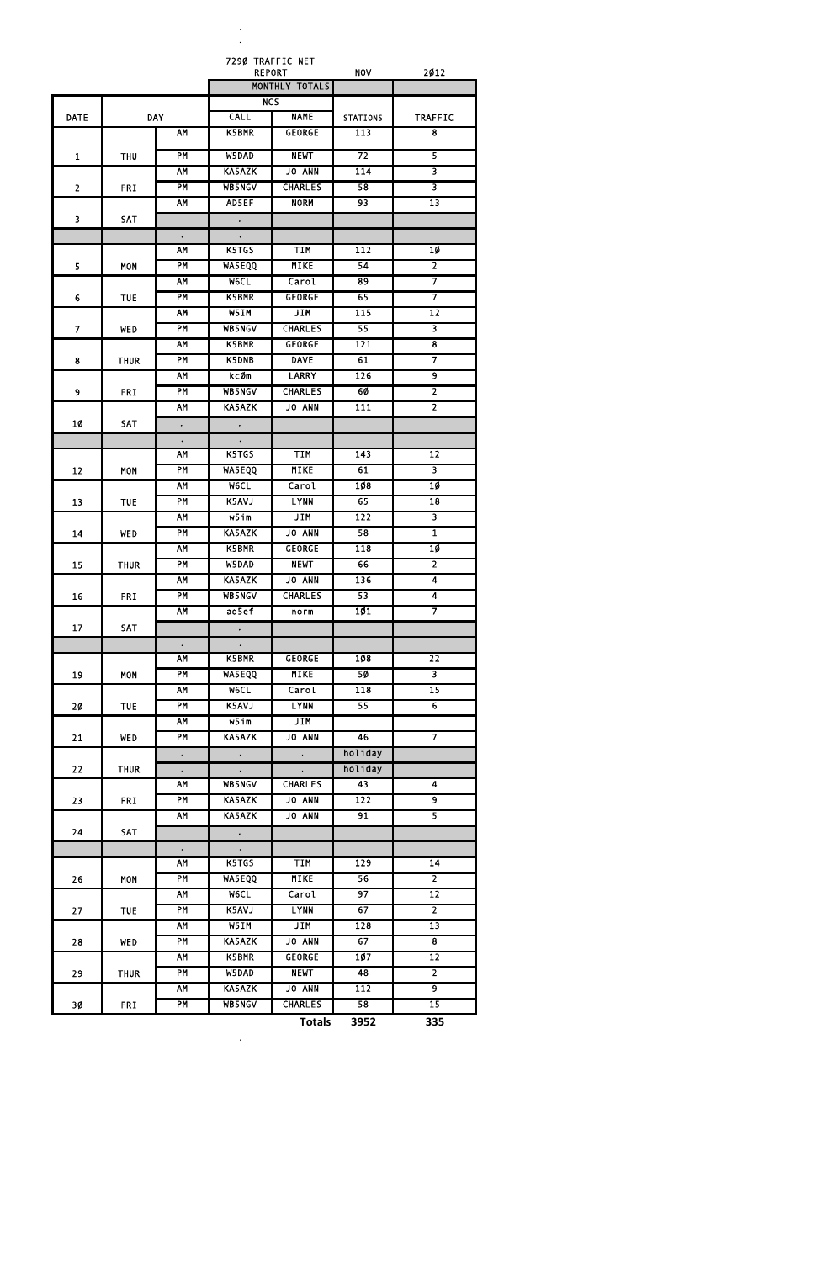. .

|                 |             |                      |                      | 7290 TRAFFIC NET<br><b>REPORT</b> | <b>NOV</b>       | 2012                    |
|-----------------|-------------|----------------------|----------------------|-----------------------------------|------------------|-------------------------|
|                 |             |                      |                      | MONTHLY TOTALS                    |                  |                         |
|                 |             |                      |                      | $\overline{\text{NCS}}$           |                  |                         |
| <b>DATE</b>     |             | <b>DAY</b>           | <b>CALL</b>          | <b>NAME</b>                       | <b>STATIONS</b>  | <b>TRAFFIC</b>          |
|                 |             | AM                   | K5BMR                | <b>GEORGE</b>                     | $\overline{113}$ | 8                       |
| $\mathbf{1}$    | <b>THU</b>  | <b>PM</b>            | W5DAD                | <b>NEWT</b>                       | 72               | 5                       |
|                 |             | AM                   | KA5AZK               | JO ANN                            | 114              | $\overline{\mathbf{3}}$ |
| $\overline{2}$  | <b>FRI</b>  | PM                   | WB5NGV               | <b>CHARLES</b>                    | 58               | $\overline{\mathbf{3}}$ |
|                 |             | AM                   | AD5EF                | <b>NORM</b>                       | 93               | $\overline{13}$         |
| 3               | SAT         |                      | $\ddot{\phantom{0}}$ |                                   |                  |                         |
|                 |             | $\bullet$            | $\bullet$            |                                   |                  |                         |
|                 |             | AM                   | K5TGS                | <b>TIM</b>                        | 112              | 10                      |
| 5               | <b>MON</b>  | PM                   | WA5EQQ               | <b>MIKE</b>                       | 54               | $\overline{2}$          |
|                 |             | <b>AM</b>            | <b>MeCL</b>          | Carol                             | $\overline{89}$  | 7                       |
| 6               | <b>TUE</b>  | <b>PM</b>            | <b>K5BMR</b>         | <b>GEORGE</b>                     | 65               | 7                       |
|                 |             | AM                   | W5IM                 | <b>JIM</b>                        | 115              | 12                      |
| $\overline{7}$  | <b>WED</b>  | PM                   | WB5NGV               | <b>CHARLES</b>                    | 55               | $\overline{\mathbf{3}}$ |
|                 |             | AM                   | K5BMR                | <b>GEORGE</b>                     | 121              | $\overline{\mathbf{8}}$ |
| 8               | <b>THUR</b> | PM                   | K5DNB                | <b>DAVE</b>                       | 61               | 7                       |
|                 |             | AM                   | kcØm                 | <b>LARRY</b>                      | 126              | $\overline{9}$          |
| 9               | <b>FRI</b>  | PM                   | WB5NGV               | <b>CHARLES</b>                    | 60               | $\overline{2}$          |
|                 |             | AM                   | KA5AZK               | JO ANN                            | $\overline{111}$ | $\overline{2}$          |
| <b>10</b>       | <b>SAT</b>  | $\ddot{\phantom{0}}$ | $\ddot{\phantom{0}}$ |                                   |                  |                         |
|                 |             | $\bullet$            | $\bullet$            |                                   |                  |                         |
|                 |             | AM                   | K5TGS                | TIM                               | 143              | 12                      |
| 12              | <b>MON</b>  | <b>PM</b>            | <b>WA5EQQ</b>        | <b>MIKE</b>                       | 61               | 3                       |
|                 |             | AM                   | W6CL                 | Carol                             | 108              | 10                      |
| 13              | <b>TUE</b>  | PM                   | K5AVJ                | <b>LYNN</b>                       | 65               | $\overline{18}$         |
|                 |             | <b>AM</b>            | W5im                 | JIM                               | 122              | 3                       |
| 14              | <b>WED</b>  | PM                   | <b>KA5AZK</b>        | JO ANN                            | 58               | $\overline{\mathbf{1}}$ |
|                 |             | <b>AM</b>            | K5BMR                | <b>GEORGE</b>                     | 118              | $10 \,$                 |
| 15              | <b>THUR</b> | PM                   | W5DAD                | <b>NEWT</b>                       | 66               | $\overline{2}$          |
|                 |             | <b>AM</b>            | <b>KA5AZK</b>        | JO ANN                            | 136              | $\overline{4}$          |
| 16              | <b>FRI</b>  | PM                   | <b>WB5NGV</b>        | <b>CHARLES</b>                    | 53               | $\overline{\mathbf{4}}$ |
|                 |             | <b>AM</b>            | ad5ef                | norm                              | 101              | $\overline{7}$          |
| 17              | SAT         |                      | $\ddot{\phantom{0}}$ |                                   |                  |                         |
|                 |             | $\bullet$            | $\bullet$            |                                   |                  |                         |
|                 |             | <b>AM</b>            | K5BMR                | <b>GEORGE</b>                     | 108              | $\overline{22}$         |
| 19              | <b>MON</b>  | PM                   | <b>WA5EQQ</b>        | <b>MIKE</b>                       | 50               | $\overline{\mathbf{3}}$ |
|                 |             | <b>AM</b>            | <b>MeCL</b>          | Carol                             | 118              | $\overline{15}$         |
| 20 <sub>o</sub> | <b>TUE</b>  | PM                   | K5AVJ                | <b>LYNN</b>                       | 55               | $\overline{6}$          |
|                 |             | <b>AM</b>            | $W5$ im              | JIM                               |                  |                         |
| 21              | <b>WED</b>  | PM                   | <b>KA5AZK</b>        | <b>JO ANN</b>                     | 46               | 7                       |
|                 |             | $\Box$               | $\Box$               | $\Box$                            | holiday          |                         |
| 22              | <b>THUR</b> | $\ddot{\phantom{0}}$ | $\ddot{\phantom{0}}$ | $\ddot{\phantom{0}}$              | holiday          |                         |
|                 |             | <b>AM</b>            | <b>WB5NGV</b>        | <b>CHARLES</b>                    | 43               | $\overline{\mathbf{4}}$ |
| 23              | <b>FRI</b>  | PM                   | <b>KA5AZK</b>        | JO ANN                            | 122              | $\overline{9}$          |
|                 |             | <b>AM</b>            | <b>KA5AZK</b>        | <b>JO ANN</b>                     | 91               | $\overline{5}$          |
| 24              | SAT         |                      | $\ddot{\phantom{0}}$ |                                   |                  |                         |
|                 |             | $\bullet$            | $\bullet$ .          |                                   |                  |                         |
|                 |             | <b>AM</b>            | K5TGS                | <b>TIM</b>                        | 129              | $\overline{14}$         |
| 26              | <b>MON</b>  | PM                   | <b>WASEQQ</b>        | <b>MIKE</b>                       | 56               | $\overline{2}$          |
|                 |             | <b>AM</b>            | <b>WeCL</b>          | Carol                             | 97               | $\overline{12}$         |
| 27              | <b>TUE</b>  | PM                   | K5AVJ                | <b>LYNN</b>                       | 67               | $\overline{2}$          |
|                 |             | <b>AM</b>            | W5IM                 | JIM                               | $\overline{128}$ | $\overline{13}$         |

|    |             | .  . | .             | ----           | ---  | --  |
|----|-------------|------|---------------|----------------|------|-----|
| 28 | WED         | PM   | <b>KA5AZK</b> | <b>JO ANN</b>  | 67   |     |
|    |             | АΜ   | <b>K5BMR</b>  | <b>GEORGE</b>  | 107  | 12  |
| 29 | <b>THUR</b> | ΡM   | W5DAD         | <b>NEWT</b>    | 48   |     |
|    |             | АΜ   | <b>KA5AZK</b> | <b>JO ANN</b>  | 112  |     |
| 3Ø | <b>FRI</b>  | PM   | <b>WB5NGV</b> | <b>CHARLES</b> | 58   | 15  |
|    |             |      |               | <b>Totals</b>  | 3952 | 335 |

**.**